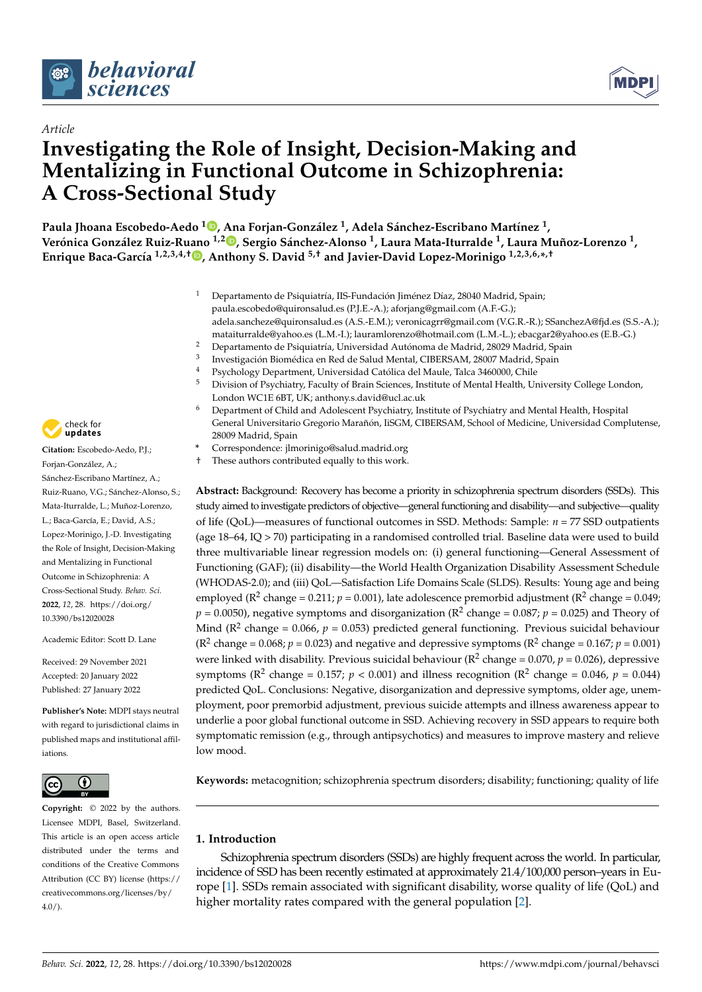

*Article*



# **Investigating the Role of Insight, Decision-Making and Mentalizing in Functional Outcome in Schizophrenia: A Cross-Sectional Study**

**Paula Jhoana Escobedo-Aedo [1](https://orcid.org/0000-0003-2579-7370) , Ana Forjan-González <sup>1</sup> , Adela Sánchez-Escribano Martínez <sup>1</sup> , Verónica González Ruiz-Ruano 1,2 [,](https://orcid.org/0000-0002-8346-3259) Sergio Sánchez-Alonso <sup>1</sup> , Laura Mata-Iturralde <sup>1</sup> , Laura Muñoz-Lorenzo <sup>1</sup> , Enrique Baca-García 1,2,3,4,† [,](https://orcid.org/0000-0002-6963-6555) Anthony S. David 5,† and Javier-David Lopez-Morinigo 1,2,3,6,\* ,†**

- <sup>1</sup> Departamento de Psiquiatría, IIS-Fundación Jiménez Díaz, 28040 Madrid, Spain; paula.escobedo@quironsalud.es (P.J.E.-A.); aforjang@gmail.com (A.F.-G.); adela.sancheze@quironsalud.es (A.S.-E.M.); veronicagrr@gmail.com (V.G.R.-R.); SSanchezA@fjd.es (S.S.-A.); mataiturralde@yahoo.es (L.M.-I.); lauramlorenzo@hotmail.com (L.M.-L.); ebacgar2@yahoo.es (E.B.-G.)
- <sup>2</sup> Departamento de Psiquiatría, Universidad Autónoma de Madrid, 28029 Madrid, Spain
- 3 Investigación Biomédica en Red de Salud Mental, CIBERSAM, 28007 Madrid, Spain
- 4 Psychology Department, Universidad Católica del Maule, Talca 3460000, Chile<br>5 Division of Psychiatry Equility of Brain Sciences, Instituto of Montal Hoalth, Un
- <sup>5</sup> Division of Psychiatry, Faculty of Brain Sciences, Institute of Mental Health, University College London, London WC1E 6BT, UK; anthony.s.david@ucl.ac.uk
- <sup>6</sup> Department of Child and Adolescent Psychiatry, Institute of Psychiatry and Mental Health, Hospital General Universitario Gregorio Marañón, IiSGM, CIBERSAM, School of Medicine, Universidad Complutense, 28009 Madrid, Spain
- **\*** Correspondence: jlmorinigo@salud.madrid.org
- † These authors contributed equally to this work.

**Abstract:** Background: Recovery has become a priority in schizophrenia spectrum disorders (SSDs). This study aimed to investigate predictors of objective—general functioning and disability—and subjective—quality of life (QoL)—measures of functional outcomes in SSD. Methods: Sample: *n* = 77 SSD outpatients (age 18–64, IQ > 70) participating in a randomised controlled trial. Baseline data were used to build three multivariable linear regression models on: (i) general functioning—General Assessment of Functioning (GAF); (ii) disability—the World Health Organization Disability Assessment Schedule (WHODAS-2.0); and (iii) QoL—Satisfaction Life Domains Scale (SLDS). Results: Young age and being employed ( $\mathbb{R}^2$  change = 0.211;  $p = 0.001$ ), late adolescence premorbid adjustment ( $\mathbb{R}^2$  change = 0.049;  $p = 0.0050$ ), negative symptoms and disorganization ( $\mathsf{R}^2$  change = 0.087;  $p = 0.025$ ) and Theory of Mind (R<sup>2</sup> change = 0.066, *p* = 0.053) predicted general functioning. Previous suicidal behaviour ( $\mathbb{R}^2$  change = 0.068;  $p = 0.023$ ) and negative and depressive symptoms ( $\mathbb{R}^2$  change = 0.167;  $p = 0.001$ ) were linked with disability. Previous suicidal behaviour ( $\mathbb{R}^2$  change = 0.070,  $p$  = 0.026), depressive symptoms ( $\mathbb{R}^2$  change = 0.157; *p* < 0.001) and illness recognition ( $\mathbb{R}^2$  change = 0.046, *p* = 0.044) predicted QoL. Conclusions: Negative, disorganization and depressive symptoms, older age, unemployment, poor premorbid adjustment, previous suicide attempts and illness awareness appear to underlie a poor global functional outcome in SSD. Achieving recovery in SSD appears to require both symptomatic remission (e.g., through antipsychotics) and measures to improve mastery and relieve low mood.

**Keywords:** metacognition; schizophrenia spectrum disorders; disability; functioning; quality of life

# **1. Introduction**

Schizophrenia spectrum disorders (SSDs) are highly frequent across the world. In particular, incidence of SSD has been recently estimated at approximately 21.4/100,000 person–years in Europe [\[1\]](#page-11-0). SSDs remain associated with significant disability, worse quality of life (QoL) and higher mortality rates compared with the general population [\[2\]](#page-11-1).



**Citation:** Escobedo-Aedo, P.J.; Forjan-González, A.; Sánchez-Escribano Martínez, A.; Ruiz-Ruano, V.G.; Sánchez-Alonso, S.; Mata-Iturralde, L.; Muñoz-Lorenzo, L.; Baca-García, E.; David, A.S.; Lopez-Morinigo, J.-D. Investigating the Role of Insight, Decision-Making and Mentalizing in Functional Outcome in Schizophrenia: A Cross-Sectional Study. *Behav. Sci.* **2022**, *12*, 28. [https://doi.org/](https://doi.org/10.3390/bs12020028) [10.3390/bs12020028](https://doi.org/10.3390/bs12020028)

Academic Editor: Scott D. Lane

Received: 29 November 2021 Accepted: 20 January 2022 Published: 27 January 2022

**Publisher's Note:** MDPI stays neutral with regard to jurisdictional claims in published maps and institutional affiliations.



**Copyright:** © 2022 by the authors. Licensee MDPI, Basel, Switzerland. This article is an open access article distributed under the terms and conditions of the Creative Commons Attribution (CC BY) license [\(https://](https://creativecommons.org/licenses/by/4.0/) [creativecommons.org/licenses/by/](https://creativecommons.org/licenses/by/4.0/)  $4.0/$ ).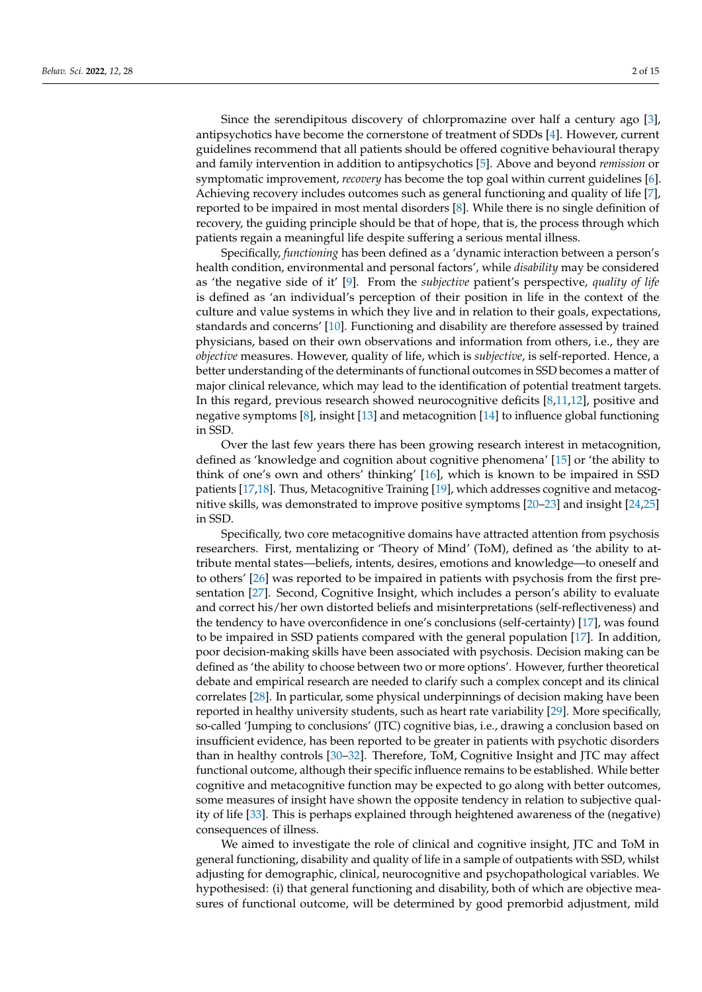Since the serendipitous discovery of chlorpromazine over half a century ago [\[3\]](#page-11-2), antipsychotics have become the cornerstone of treatment of SDDs [\[4\]](#page-11-3). However, current guidelines recommend that all patients should be offered cognitive behavioural therapy and family intervention in addition to antipsychotics [\[5\]](#page-11-4). Above and beyond *remission* or symptomatic improvement, *recovery* has become the top goal within current guidelines [\[6\]](#page-11-5). Achieving recovery includes outcomes such as general functioning and quality of life [\[7\]](#page-11-6), reported to be impaired in most mental disorders [\[8\]](#page-11-7). While there is no single definition of recovery, the guiding principle should be that of hope, that is, the process through which patients regain a meaningful life despite suffering a serious mental illness.

Specifically, *functioning* has been defined as a 'dynamic interaction between a person's health condition, environmental and personal factors', while *disability* may be considered as 'the negative side of it' [\[9\]](#page-11-8). From the *subjective* patient's perspective, *quality of life* is defined as 'an individual's perception of their position in life in the context of the culture and value systems in which they live and in relation to their goals, expectations, standards and concerns' [\[10\]](#page-11-9). Functioning and disability are therefore assessed by trained physicians, based on their own observations and information from others, i.e., they are *objective* measures. However, quality of life, which is *subjective*, is self-reported. Hence, a better understanding of the determinants of functional outcomes in SSD becomes a matter of major clinical relevance, which may lead to the identification of potential treatment targets. In this regard, previous research showed neurocognitive deficits [\[8,](#page-11-7)[11,](#page-11-10)[12\]](#page-11-11), positive and negative symptoms [\[8\]](#page-11-7), insight [\[13\]](#page-11-12) and metacognition [\[14\]](#page-11-13) to influence global functioning in SSD.

Over the last few years there has been growing research interest in metacognition, defined as 'knowledge and cognition about cognitive phenomena' [\[15\]](#page-11-14) or 'the ability to think of one's own and others' thinking' [\[16\]](#page-11-15), which is known to be impaired in SSD patients [\[17](#page-11-16)[,18\]](#page-11-17). Thus, Metacognitive Training [\[19\]](#page-11-18), which addresses cognitive and metacognitive skills, was demonstrated to improve positive symptoms [\[20](#page-12-0)[–23\]](#page-12-1) and insight [\[24](#page-12-2)[,25\]](#page-12-3) in SSD.

Specifically, two core metacognitive domains have attracted attention from psychosis researchers. First, mentalizing or 'Theory of Mind' (ToM), defined as 'the ability to attribute mental states—beliefs, intents, desires, emotions and knowledge—to oneself and to others' [\[26\]](#page-12-4) was reported to be impaired in patients with psychosis from the first presentation [\[27\]](#page-12-5). Second, Cognitive Insight, which includes a person's ability to evaluate and correct his/her own distorted beliefs and misinterpretations (self-reflectiveness) and the tendency to have overconfidence in one's conclusions (self-certainty) [\[17\]](#page-11-16), was found to be impaired in SSD patients compared with the general population [\[17\]](#page-11-16). In addition, poor decision-making skills have been associated with psychosis. Decision making can be defined as 'the ability to choose between two or more options'. However, further theoretical debate and empirical research are needed to clarify such a complex concept and its clinical correlates [\[28\]](#page-12-6). In particular, some physical underpinnings of decision making have been reported in healthy university students, such as heart rate variability [\[29\]](#page-12-7). More specifically, so-called 'Jumping to conclusions' (JTC) cognitive bias, i.e., drawing a conclusion based on insufficient evidence, has been reported to be greater in patients with psychotic disorders than in healthy controls [\[30](#page-12-8)[–32\]](#page-12-9). Therefore, ToM, Cognitive Insight and JTC may affect functional outcome, although their specific influence remains to be established. While better cognitive and metacognitive function may be expected to go along with better outcomes, some measures of insight have shown the opposite tendency in relation to subjective quality of life [\[33\]](#page-12-10). This is perhaps explained through heightened awareness of the (negative) consequences of illness.

We aimed to investigate the role of clinical and cognitive insight, JTC and ToM in general functioning, disability and quality of life in a sample of outpatients with SSD, whilst adjusting for demographic, clinical, neurocognitive and psychopathological variables. We hypothesised: (i) that general functioning and disability, both of which are objective measures of functional outcome, will be determined by good premorbid adjustment, mild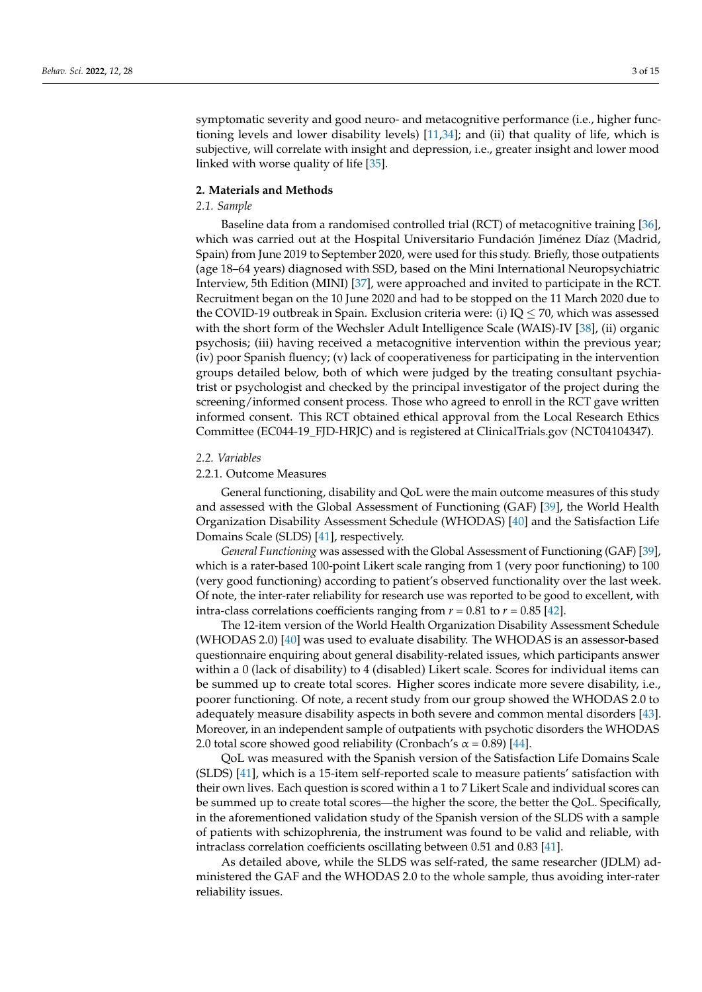symptomatic severity and good neuro- and metacognitive performance (i.e., higher functioning levels and lower disability levels)  $[11,34]$  $[11,34]$ ; and (ii) that quality of life, which is subjective, will correlate with insight and depression, i.e., greater insight and lower mood linked with worse quality of life [\[35\]](#page-12-12).

#### **2. Materials and Methods**

## *2.1. Sample*

Baseline data from a randomised controlled trial (RCT) of metacognitive training [\[36\]](#page-12-13), which was carried out at the Hospital Universitario Fundación Jiménez Díaz (Madrid, Spain) from June 2019 to September 2020, were used for this study. Briefly, those outpatients (age 18–64 years) diagnosed with SSD, based on the Mini International Neuropsychiatric Interview, 5th Edition (MINI) [\[37\]](#page-12-14), were approached and invited to participate in the RCT. Recruitment began on the 10 June 2020 and had to be stopped on the 11 March 2020 due to the COVID-19 outbreak in Spain. Exclusion criteria were: (i)  $IQ \le 70$ , which was assessed with the short form of the Wechsler Adult Intelligence Scale (WAIS)-IV [\[38\]](#page-12-15), (ii) organic psychosis; (iii) having received a metacognitive intervention within the previous year; (iv) poor Spanish fluency; (v) lack of cooperativeness for participating in the intervention groups detailed below, both of which were judged by the treating consultant psychiatrist or psychologist and checked by the principal investigator of the project during the screening/informed consent process. Those who agreed to enroll in the RCT gave written informed consent. This RCT obtained ethical approval from the Local Research Ethics Committee (EC044-19\_FJD-HRJC) and is registered at ClinicalTrials.gov (NCT04104347).

#### *2.2. Variables*

## 2.2.1. Outcome Measures

General functioning, disability and QoL were the main outcome measures of this study and assessed with the Global Assessment of Functioning (GAF) [\[39\]](#page-12-16), the World Health Organization Disability Assessment Schedule (WHODAS) [\[40\]](#page-12-17) and the Satisfaction Life Domains Scale (SLDS) [\[41\]](#page-12-18), respectively.

*General Functioning* was assessed with the Global Assessment of Functioning (GAF) [\[39\]](#page-12-16), which is a rater-based 100-point Likert scale ranging from 1 (very poor functioning) to 100 (very good functioning) according to patient's observed functionality over the last week. Of note, the inter-rater reliability for research use was reported to be good to excellent, with intra-class correlations coefficients ranging from  $r = 0.81$  to  $r = 0.85$  [\[42\]](#page-12-19).

The 12-item version of the World Health Organization Disability Assessment Schedule (WHODAS 2.0) [\[40\]](#page-12-17) was used to evaluate disability. The WHODAS is an assessor-based questionnaire enquiring about general disability-related issues, which participants answer within a 0 (lack of disability) to 4 (disabled) Likert scale. Scores for individual items can be summed up to create total scores. Higher scores indicate more severe disability, i.e., poorer functioning. Of note, a recent study from our group showed the WHODAS 2.0 to adequately measure disability aspects in both severe and common mental disorders [\[43\]](#page-12-20). Moreover, in an independent sample of outpatients with psychotic disorders the WHODAS 2.0 total score showed good reliability (Cronbach's  $\alpha$  = 0.89) [\[44\]](#page-13-0).

QoL was measured with the Spanish version of the Satisfaction Life Domains Scale (SLDS) [\[41\]](#page-12-18), which is a 15-item self-reported scale to measure patients' satisfaction with their own lives. Each question is scored within a 1 to 7 Likert Scale and individual scores can be summed up to create total scores—the higher the score, the better the QoL. Specifically, in the aforementioned validation study of the Spanish version of the SLDS with a sample of patients with schizophrenia, the instrument was found to be valid and reliable, with intraclass correlation coefficients oscillating between 0.51 and 0.83 [\[41\]](#page-12-18).

As detailed above, while the SLDS was self-rated, the same researcher (JDLM) administered the GAF and the WHODAS 2.0 to the whole sample, thus avoiding inter-rater reliability issues.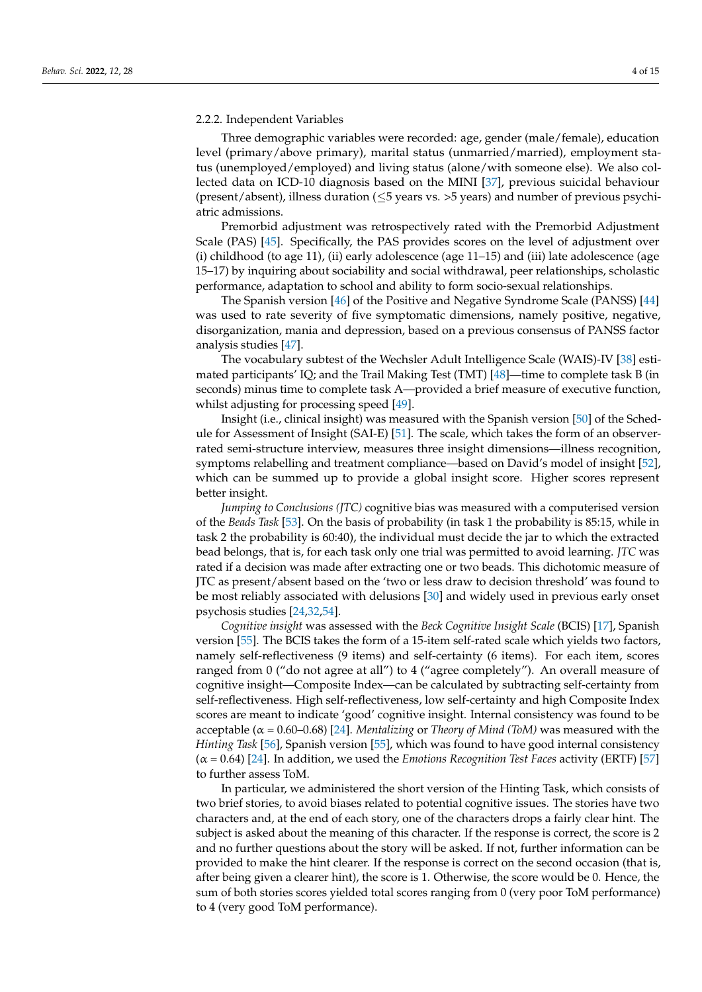#### 2.2.2. Independent Variables

Three demographic variables were recorded: age, gender (male/female), education level (primary/above primary), marital status (unmarried/married), employment status (unemployed/employed) and living status (alone/with someone else). We also collected data on ICD-10 diagnosis based on the MINI [\[37\]](#page-12-14), previous suicidal behaviour (present/absent), illness duration (≤5 years vs. >5 years) and number of previous psychiatric admissions.

Premorbid adjustment was retrospectively rated with the Premorbid Adjustment Scale (PAS) [\[45\]](#page-13-1). Specifically, the PAS provides scores on the level of adjustment over (i) childhood (to age 11), (ii) early adolescence (age 11–15) and (iii) late adolescence (age 15–17) by inquiring about sociability and social withdrawal, peer relationships, scholastic performance, adaptation to school and ability to form socio-sexual relationships.

The Spanish version [\[46\]](#page-13-2) of the Positive and Negative Syndrome Scale (PANSS) [\[44\]](#page-13-0) was used to rate severity of five symptomatic dimensions, namely positive, negative, disorganization, mania and depression, based on a previous consensus of PANSS factor analysis studies [\[47\]](#page-13-3).

The vocabulary subtest of the Wechsler Adult Intelligence Scale (WAIS)-IV [\[38\]](#page-12-15) estimated participants' IQ; and the Trail Making Test (TMT) [\[48\]](#page-13-4)—time to complete task B (in seconds) minus time to complete task A—provided a brief measure of executive function, whilst adjusting for processing speed [\[49\]](#page-13-5).

Insight (i.e., clinical insight) was measured with the Spanish version [\[50\]](#page-13-6) of the Schedule for Assessment of Insight (SAI-E) [\[51\]](#page-13-7). The scale, which takes the form of an observerrated semi-structure interview, measures three insight dimensions—illness recognition, symptoms relabelling and treatment compliance—based on David's model of insight [\[52\]](#page-13-8), which can be summed up to provide a global insight score. Higher scores represent better insight.

*Jumping to Conclusions (JTC)* cognitive bias was measured with a computerised version of the *Beads Task* [\[53\]](#page-13-9). On the basis of probability (in task 1 the probability is 85:15, while in task 2 the probability is 60:40), the individual must decide the jar to which the extracted bead belongs, that is, for each task only one trial was permitted to avoid learning. *JTC* was rated if a decision was made after extracting one or two beads. This dichotomic measure of JTC as present/absent based on the 'two or less draw to decision threshold' was found to be most reliably associated with delusions [\[30\]](#page-12-8) and widely used in previous early onset psychosis studies [\[24,](#page-12-2)[32,](#page-12-9)[54\]](#page-13-10).

*Cognitive insight* was assessed with the *Beck Cognitive Insight Scale* (BCIS) [\[17\]](#page-11-16), Spanish version [\[55\]](#page-13-11). The BCIS takes the form of a 15-item self-rated scale which yields two factors, namely self-reflectiveness (9 items) and self-certainty (6 items). For each item, scores ranged from 0 ("do not agree at all") to 4 ("agree completely"). An overall measure of cognitive insight—Composite Index—can be calculated by subtracting self-certainty from self-reflectiveness. High self-reflectiveness, low self-certainty and high Composite Index scores are meant to indicate 'good' cognitive insight. Internal consistency was found to be acceptable (α = 0.60–0.68) [\[24\]](#page-12-2). *Mentalizing* or *Theory of Mind (ToM)* was measured with the *Hinting Task* [\[56\]](#page-13-12), Spanish version [\[55\]](#page-13-11), which was found to have good internal consistency (α = 0.64) [\[24\]](#page-12-2). In addition, we used the *Emotions Recognition Test Faces* activity (ERTF) [\[57\]](#page-13-13) to further assess ToM.

In particular, we administered the short version of the Hinting Task, which consists of two brief stories, to avoid biases related to potential cognitive issues. The stories have two characters and, at the end of each story, one of the characters drops a fairly clear hint. The subject is asked about the meaning of this character. If the response is correct, the score is 2 and no further questions about the story will be asked. If not, further information can be provided to make the hint clearer. If the response is correct on the second occasion (that is, after being given a clearer hint), the score is 1. Otherwise, the score would be 0. Hence, the sum of both stories scores yielded total scores ranging from 0 (very poor ToM performance) to 4 (very good ToM performance).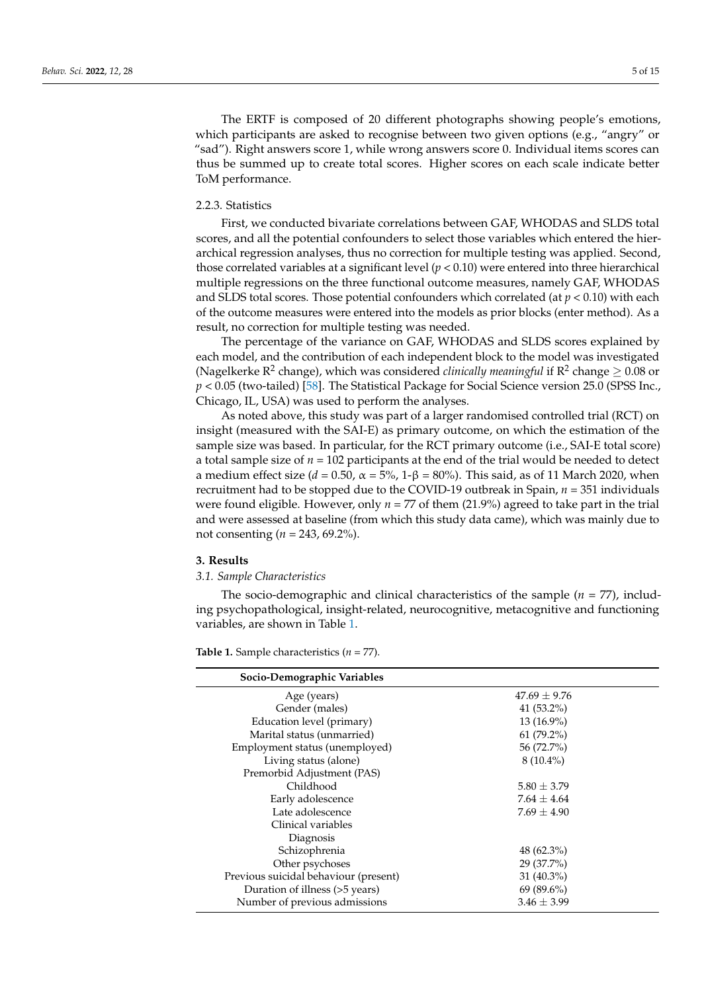The ERTF is composed of 20 different photographs showing people's emotions, which participants are asked to recognise between two given options (e.g., "angry" or "sad"). Right answers score 1, while wrong answers score 0. Individual items scores can thus be summed up to create total scores. Higher scores on each scale indicate better ToM performance.

## 2.2.3. Statistics

First, we conducted bivariate correlations between GAF, WHODAS and SLDS total scores, and all the potential confounders to select those variables which entered the hierarchical regression analyses, thus no correction for multiple testing was applied. Second, those correlated variables at a significant level (*p* < 0.10) were entered into three hierarchical multiple regressions on the three functional outcome measures, namely GAF, WHODAS and SLDS total scores. Those potential confounders which correlated (at *p* < 0.10) with each of the outcome measures were entered into the models as prior blocks (enter method). As a result, no correction for multiple testing was needed.

The percentage of the variance on GAF, WHODAS and SLDS scores explained by each model, and the contribution of each independent block to the model was investigated (Nagelkerke  $R^2$  change), which was considered *clinically meaningful* if  $R^2$  change  $\geq 0.08$  or *p* < 0.05 (two-tailed) [\[58\]](#page-13-14). The Statistical Package for Social Science version 25.0 (SPSS Inc., Chicago, IL, USA) was used to perform the analyses.

As noted above, this study was part of a larger randomised controlled trial (RCT) on insight (measured with the SAI-E) as primary outcome, on which the estimation of the sample size was based. In particular, for the RCT primary outcome (i.e., SAI-E total score) a total sample size of  $n = 102$  participants at the end of the trial would be needed to detect a medium effect size (*d* = 0.50, α = 5%, 1-β = 80%). This said, as of 11 March 2020, when recruitment had to be stopped due to the COVID-19 outbreak in Spain, *n* = 351 individuals were found eligible. However, only *n* = 77 of them (21.9%) agreed to take part in the trial and were assessed at baseline (from which this study data came), which was mainly due to not consenting (*n* = 243, 69.2%).

#### **3. Results**

## *3.1. Sample Characteristics*

The socio-demographic and clinical characteristics of the sample (*n* = 77), including psychopathological, insight-related, neurocognitive, metacognitive and functioning variables, are shown in Table [1.](#page-5-0)

| Socio-Demographic Variables           |                  |
|---------------------------------------|------------------|
| Age (years)                           | $47.69 \pm 9.76$ |
| Gender (males)                        | 41 $(53.2\%)$    |
| Education level (primary)             | $13(16.9\%)$     |
| Marital status (unmarried)            | $61(79.2\%)$     |
| Employment status (unemployed)        | 56 (72.7%)       |
| Living status (alone)                 | $8(10.4\%)$      |
| Premorbid Adjustment (PAS)            |                  |
| Childhood                             | $5.80 \pm 3.79$  |
| Early adolescence                     | $7.64 \pm 4.64$  |
| Late adolescence                      | $7.69 \pm 4.90$  |
| Clinical variables                    |                  |
| Diagnosis                             |                  |
| Schizophrenia                         | $48(62.3\%)$     |
| Other psychoses                       | 29 (37.7%)       |
| Previous suicidal behaviour (present) | $31(40.3\%)$     |
| Duration of illness (>5 years)        | $69(89.6\%)$     |
| Number of previous admissions         | $3.46 \pm 3.99$  |

**Table 1.** Sample characteristics (*n* = 77).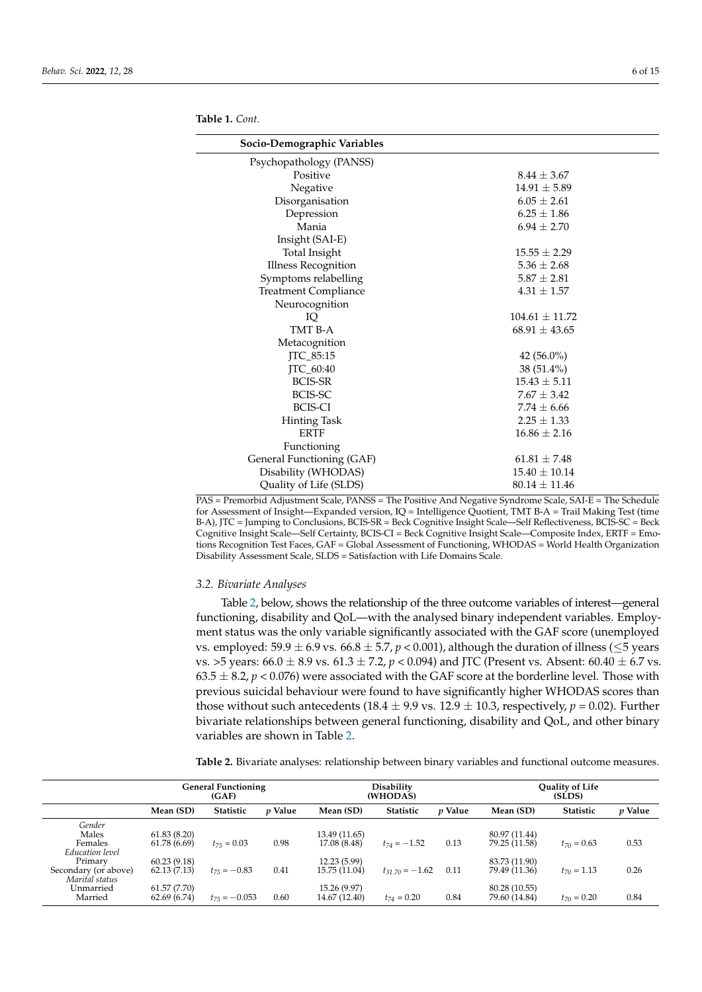| Socio-Demographic Variables |                    |
|-----------------------------|--------------------|
| Psychopathology (PANSS)     |                    |
| Positive                    | $8.44 \pm 3.67$    |
| Negative                    | $14.91 \pm 5.89$   |
| Disorganisation             | $6.05 \pm 2.61$    |
| Depression                  | $6.25 \pm 1.86$    |
| Mania                       | $6.94 \pm 2.70$    |
| Insight (SAI-E)             |                    |
| <b>Total Insight</b>        | $15.55 \pm 2.29$   |
| <b>Illness Recognition</b>  | $5.36 \pm 2.68$    |
| Symptoms relabelling        | $5.87 \pm 2.81$    |
| <b>Treatment Compliance</b> | $4.31 \pm 1.57$    |
| Neurocognition              |                    |
| IQ                          | $104.61 \pm 11.72$ |
| TMT B-A                     | $68.91 \pm 43.65$  |
| Metacognition               |                    |
| JTC_85:15                   | $42(56.0\%)$       |
| <b>ITC_60:40</b>            | $38(51.4\%)$       |
| <b>BCIS-SR</b>              | $15.43 \pm 5.11$   |
| BCIS-SC                     | $7.67 \pm 3.42$    |
| <b>BCIS-CI</b>              | $7.74 \pm 6.66$    |
| <b>Hinting Task</b>         | $2.25 \pm 1.33$    |
| <b>ERTF</b>                 | $16.86 \pm 2.16$   |
| Functioning                 |                    |
| General Functioning (GAF)   | $61.81 \pm 7.48$   |
| Disability (WHODAS)         | $15.40 \pm 10.14$  |
| Quality of Life (SLDS)      | $80.14 \pm 11.46$  |

<span id="page-5-0"></span>

| <b>Table 1.</b> Cont. |
|-----------------------|
|                       |

PAS = Premorbid Adjustment Scale, PANSS = The Positive And Negative Syndrome Scale, SAI-E = The Schedule for Assessment of Insight—Expanded version, IQ = Intelligence Quotient, TMT B-A = Trail Making Test (time B-A), JTC = Jumping to Conclusions, BCIS-SR = Beck Cognitive Insight Scale—Self Reflectiveness, BCIS-SC = Beck Cognitive Insight Scale—Self Certainty, BCIS-CI = Beck Cognitive Insight Scale—Composite Index, ERTF = Emotions Recognition Test Faces, GAF = Global Assessment of Functioning, WHODAS = World Health Organization Disability Assessment Scale, SLDS = Satisfaction with Life Domains Scale.

## *3.2. Bivariate Analyses*

Table [2,](#page-6-0) below, shows the relationship of the three outcome variables of interest—general functioning, disability and QoL—with the analysed binary independent variables. Employment status was the only variable significantly associated with the GAF score (unemployed vs. employed:  $59.9 \pm 6.9$  vs.  $66.8 \pm 5.7$ ,  $p < 0.001$ ), although the duration of illness ( $\leq$ 5 years vs. >5 years:  $66.0 \pm 8.9$  vs.  $61.3 \pm 7.2$ ,  $p < 0.094$ ) and JTC (Present vs. Absent:  $60.40 \pm 6.7$  vs.  $63.5 \pm 8.2$ ,  $p < 0.076$ ) were associated with the GAF score at the borderline level. Those with previous suicidal behaviour were found to have significantly higher WHODAS scores than those without such antecedents (18.4  $\pm$  9.9 vs. 12.9  $\pm$  10.3, respectively, *p* = 0.02). Further bivariate relationships between general functioning, disability and QoL, and other binary variables are shown in Table [2.](#page-6-0)

**Table 2.** Bivariate analyses: relationship between binary variables and functional outcome measures.

|                                        |                            | <b>General Functioning</b><br>(GAF) |                |                               | Disability<br>(WHODAS) |                |                                | <b>Ouality of Life</b><br>(SLDS) |           |
|----------------------------------------|----------------------------|-------------------------------------|----------------|-------------------------------|------------------------|----------------|--------------------------------|----------------------------------|-----------|
|                                        | Mean (SD)                  | <b>Statistic</b>                    | <i>v</i> Value | Mean (SD)                     | <b>Statistic</b>       | <i>v</i> Value | Mean (SD)                      | <b>Statistic</b>                 | $p$ Value |
| Gender<br>Males                        | 61.83(8.20)                |                                     |                | 13.49 (11.65)                 |                        |                | 80.97 (11.44)                  |                                  |           |
| Females<br>Education level             | 61.78 (6.69)               | $t_{75} = 0.03$                     | 0.98           | 17.08 (8.48)                  | $t_{74} = -1.52$       | 0.13           | 79.25 (11.58)                  | $t_{70} = 0.63$                  | 0.53      |
| Primary                                | 60.23(9.18)                |                                     |                | 12.23 (5.99)                  |                        |                | 83.73 (11.90)                  |                                  |           |
| Secondary (or above)<br>Marital status | 62.13(7.13)                | $t_{75} = -0.83$                    | 0.41           | 15.75 (11.04)                 | $t_{31.70} = -1.62$    | 0.11           | 79.49 (11.36)                  | $t_{70} = 1.13$                  | 0.26      |
| Unmarried<br>Married                   | 61.57(7.70)<br>62.69(6.74) | $t_{75} = -0.053$                   | 0.60           | 15.26 (9.97)<br>14.67 (12.40) | $t_{74} = 0.20$        | 0.84           | 80.28 (10.55)<br>79.60 (14.84) | $t_{70} = 0.20$                  | 0.84      |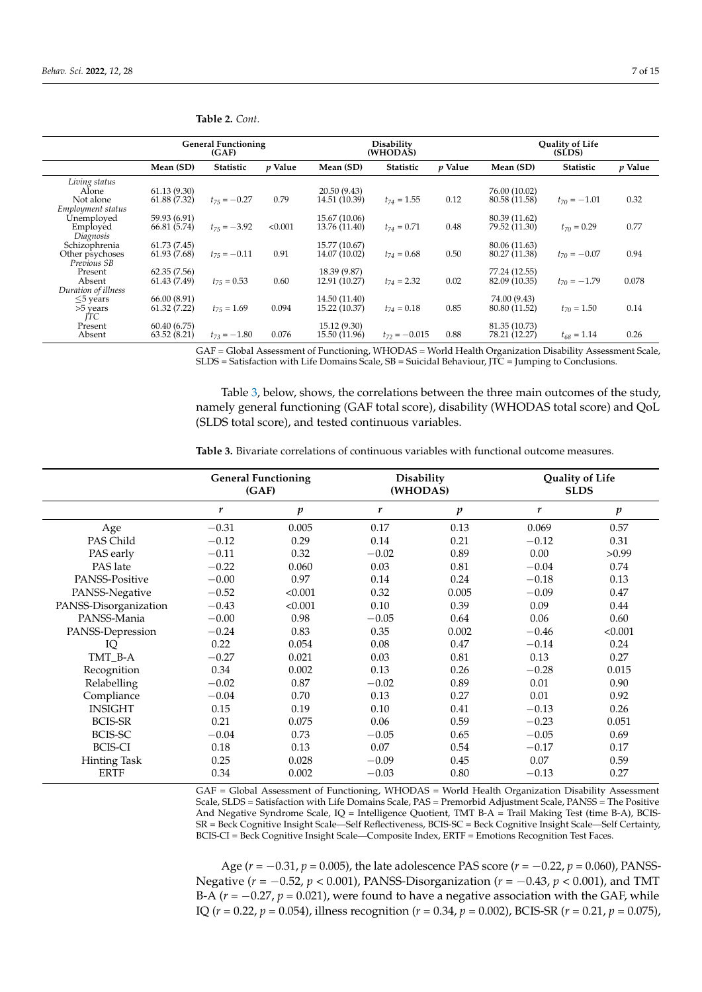|                                | <b>General Functioning</b><br>(GAF) |                  |           | Disability<br>(WHODAS) |                   | Quality of Life<br>(SLDS) |               |                  |           |
|--------------------------------|-------------------------------------|------------------|-----------|------------------------|-------------------|---------------------------|---------------|------------------|-----------|
|                                | Mean (SD)                           | <b>Statistic</b> | $p$ Value | Mean (SD)              | <b>Statistic</b>  | p Value                   | Mean (SD)     | <b>Statistic</b> | $p$ Value |
| Living status                  |                                     |                  |           |                        |                   |                           |               |                  |           |
| Alone                          | 61.13(9.30)                         |                  |           | 20.50 (9.43)           |                   |                           | 76.00 (10.02) |                  |           |
| Not alone                      | 61.88 (7.32)                        | $t_{75} = -0.27$ | 0.79      | 14.51 (10.39)          | $t_{74} = 1.55$   | 0.12                      | 80.58 (11.58) | $t_{70} = -1.01$ | 0.32      |
| Employment status              |                                     |                  |           |                        |                   |                           |               |                  |           |
| <b>Unemployed</b>              | 59.93 (6.91)                        |                  |           | 15.67 (10.06)          |                   |                           | 80.39 (11.62) |                  |           |
| Employed                       | 66.81 (5.74)                        | $t_{75} = -3.92$ | < 0.001   | 13.76 (11.40)          | $t_{74} = 0.71$   | 0.48                      | 79.52 (11.30) | $t_{70} = 0.29$  | 0.77      |
| Diagnosis                      |                                     |                  |           |                        |                   |                           |               |                  |           |
| Schizophrenia                  | 61.73 (7.45)                        |                  |           | 15.77 (10.67)          |                   |                           | 80.06 (11.63) |                  |           |
| Other psychoses<br>Previous SB | 61.93(7.68)                         | $t_{75} = -0.11$ | 0.91      | 14.07 (10.02)          | $t_{74} = 0.68$   | 0.50                      | 80.27 (11.38) | $t_{70} = -0.07$ | 0.94      |
| Present                        | 62.35(7.56)                         |                  |           | 18.39 (9.87)           |                   |                           | 77.24 (12.55) |                  |           |
| Absent                         | 61.43 (7.49)                        | $t_{75} = 0.53$  | 0.60      | 12.91 (10.27)          | $t_{74} = 2.32$   | 0.02                      | 82.09 (10.35) | $t_{70} = -1.79$ | 0.078     |
| Duration of illness            |                                     |                  |           |                        |                   |                           |               |                  |           |
| $\leq$ 5 years                 | 66.00 (8.91)                        |                  |           | 14.50 (11.40)          |                   |                           | 74.00 (9.43)  |                  |           |
| >5 years                       | 61.32(7.22)                         | $t_{75} = 1.69$  | 0.094     | 15.22 (10.37)          | $t_{74} = 0.18$   | 0.85                      | 80.80 (11.52) | $t_{70} = 1.50$  | 0.14      |
| ľТC                            |                                     |                  |           |                        |                   |                           |               |                  |           |
| Present                        | 60.40(6.75)                         |                  |           | 15.12 (9.30)           |                   |                           | 81.35 (10.73) |                  |           |
| Absent                         | 63.52(8.21)                         | $t_{73} = -1.80$ | 0.076     | 15.50 (11.96)          | $t_{72} = -0.015$ | 0.88                      | 78.21 (12.27) | $t_{68} = 1.14$  | 0.26      |

<span id="page-6-0"></span>**Table 2.** *Cont.*

GAF = Global Assessment of Functioning, WHODAS = World Health Organization Disability Assessment Scale, SLDS = Satisfaction with Life Domains Scale, SB = Suicidal Behaviour, JTC = Jumping to Conclusions.

Table [3,](#page-6-1) below, shows, the correlations between the three main outcomes of the study, namely general functioning (GAF total score), disability (WHODAS total score) and QoL (SLDS total score), and tested continuous variables.

<span id="page-6-1"></span>**Table 3.** Bivariate correlations of continuous variables with functional outcome measures.

|                       | <b>General Functioning</b><br>(GAF) |                  | (WHODAS) | Disability       | Quality of Life<br><b>SLDS</b> |                  |  |
|-----------------------|-------------------------------------|------------------|----------|------------------|--------------------------------|------------------|--|
|                       | r                                   | $\boldsymbol{p}$ | r        | $\boldsymbol{p}$ | r                              | $\boldsymbol{p}$ |  |
| Age                   | $-0.31$                             | 0.005            | 0.17     | 0.13             | 0.069                          | 0.57             |  |
| PAS Child             | $-0.12$                             | 0.29             | 0.14     | 0.21             | $-0.12$                        | 0.31             |  |
| PAS early             | $-0.11$                             | 0.32             | $-0.02$  | 0.89             | 0.00                           | >0.99            |  |
| PAS late              | $-0.22$                             | 0.060            | 0.03     | 0.81             | $-0.04$                        | 0.74             |  |
| PANSS-Positive        | $-0.00$                             | 0.97             | 0.14     | 0.24             | $-0.18$                        | 0.13             |  |
| PANSS-Negative        | $-0.52$                             | < 0.001          | 0.32     | 0.005            | $-0.09$                        | 0.47             |  |
| PANSS-Disorganization | $-0.43$                             | < 0.001          | 0.10     | 0.39             | 0.09                           | 0.44             |  |
| PANSS-Mania           | $-0.00$                             | 0.98             | $-0.05$  | 0.64             | 0.06                           | 0.60             |  |
| PANSS-Depression      | $-0.24$                             | 0.83             | 0.35     | 0.002            | $-0.46$                        | < 0.001          |  |
| IQ                    | 0.22                                | 0.054            | 0.08     | 0.47             | $-0.14$                        | 0.24             |  |
| TMT B-A               | $-0.27$                             | 0.021            | 0.03     | 0.81             | 0.13                           | 0.27             |  |
| Recognition           | 0.34                                | 0.002            | 0.13     | 0.26             | $-0.28$                        | 0.015            |  |
| Relabelling           | $-0.02$                             | 0.87             | $-0.02$  | 0.89             | 0.01                           | 0.90             |  |
| Compliance            | $-0.04$                             | 0.70             | 0.13     | 0.27             | 0.01                           | 0.92             |  |
| <b>INSIGHT</b>        | 0.15                                | 0.19             | 0.10     | 0.41             | $-0.13$                        | 0.26             |  |
| <b>BCIS-SR</b>        | 0.21                                | 0.075            | 0.06     | 0.59             | $-0.23$                        | 0.051            |  |
| BCIS-SC               | $-0.04$                             | 0.73             | $-0.05$  | 0.65             | $-0.05$                        | 0.69             |  |
| BCIS-CI               | 0.18                                | 0.13             | 0.07     | 0.54             | $-0.17$                        | 0.17             |  |
| <b>Hinting Task</b>   | 0.25                                | 0.028            | $-0.09$  | 0.45             | 0.07                           | 0.59             |  |
| <b>ERTF</b>           | 0.34                                | 0.002            | $-0.03$  | 0.80             | $-0.13$                        | 0.27             |  |

GAF = Global Assessment of Functioning, WHODAS = World Health Organization Disability Assessment Scale, SLDS = Satisfaction with Life Domains Scale, PAS = Premorbid Adjustment Scale, PANSS = The Positive And Negative Syndrome Scale,  $IQ =$  Intelligence Quotient, TMT B-A  $=$  Trail Making Test (time B-A), BCIS-SR = Beck Cognitive Insight Scale—Self Reflectiveness, BCIS-SC = Beck Cognitive Insight Scale—Self Certainty, BCIS-CI = Beck Cognitive Insight Scale—Composite Index, ERTF = Emotions Recognition Test Faces.

Age (*r* = −0.31, *p* = 0.005), the late adolescence PAS score (*r* = −0.22, *p* = 0.060), PANSS-Negative (*r* = −0.52, *p* < 0.001), PANSS-Disorganization (*r* = −0.43, *p* < 0.001), and TMT B-A ( $r = -0.27$ ,  $p = 0.021$ ), were found to have a negative association with the GAF, while IQ (*r* = 0.22, *p* = 0.054), illness recognition (*r* = 0.34, *p* = 0.002), BCIS-SR (*r* = 0.21, *p* = 0.075),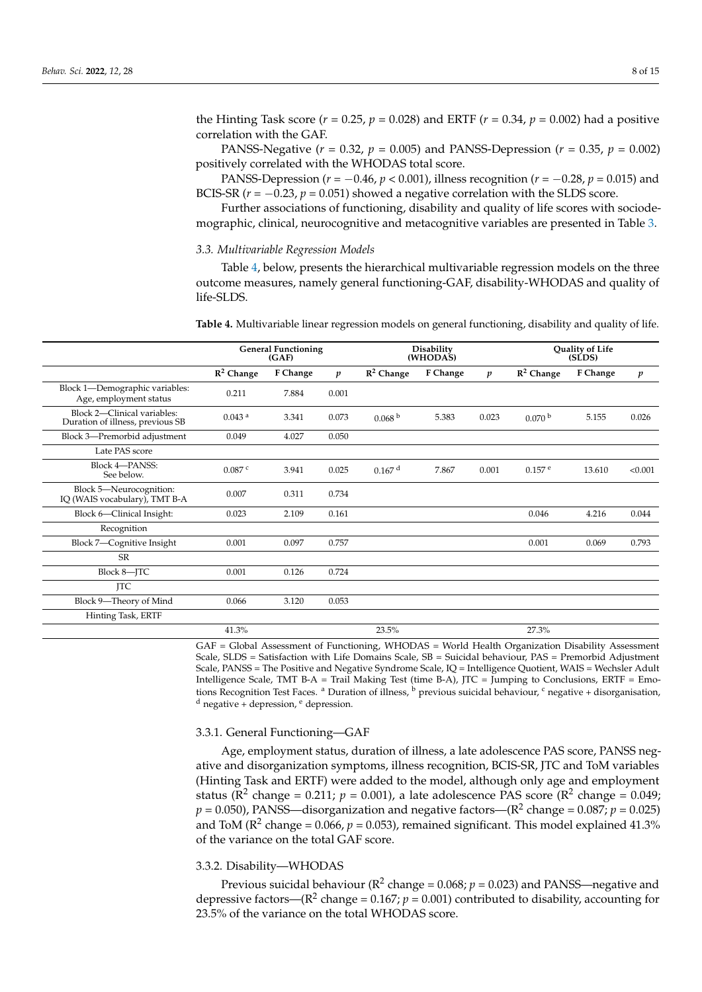the Hinting Task score ( $r = 0.25$ ,  $p = 0.028$ ) and ERTF ( $r = 0.34$ ,  $p = 0.002$ ) had a positive correlation with the GAF.

PANSS-Negative  $(r = 0.32, p = 0.005)$  and PANSS-Depression  $(r = 0.35, p = 0.002)$ positively correlated with the WHODAS total score.

PANSS-Depression (*r* = −0.46, *p* < 0.001), illness recognition (*r* = −0.28, *p* = 0.015) and BCIS-SR  $(r = -0.23, p = 0.051)$  showed a negative correlation with the SLDS score.

Further associations of functioning, disability and quality of life scores with sociodemographic, clinical, neurocognitive and metacognitive variables are presented in Table [3.](#page-6-1)

## *3.3. Multivariable Regression Models*

Table [4,](#page-7-0) below, presents the hierarchical multivariable regression models on the three outcome measures, namely general functioning-GAF, disability-WHODAS and quality of life-SLDS.

<span id="page-7-0"></span>**Table 4.** Multivariable linear regression models on general functioning, disability and quality of life.

|                                                                 | <b>General Functioning</b><br>(GAF) |          |                  |                    | <b>Disability</b><br>(WHODAS) |                  | Quality of Life<br>(SLDS) |          |                  |
|-----------------------------------------------------------------|-------------------------------------|----------|------------------|--------------------|-------------------------------|------------------|---------------------------|----------|------------------|
|                                                                 | $\mathbb{R}^2$ Change               | F Change | $\boldsymbol{p}$ | $R^2$ Change       | F Change                      | $\boldsymbol{p}$ | $R^2$ Change              | F Change | $\boldsymbol{p}$ |
| Block 1-Demographic variables:<br>Age, employment status        | 0.211                               | 7.884    | 0.001            |                    |                               |                  |                           |          |                  |
| Block 2-Clinical variables:<br>Duration of illness, previous SB | 0.043 <sup>a</sup>                  | 3.341    | 0.073            | 0.068 <sup>b</sup> | 5.383                         | 0.023            | 0.070 <sup>b</sup>        | 5.155    | 0.026            |
| Block 3-Premorbid adjustment                                    | 0.049                               | 4.027    | 0.050            |                    |                               |                  |                           |          |                  |
| Late PAS score                                                  |                                     |          |                  |                    |                               |                  |                           |          |                  |
| <b>Block 4-PANSS:</b><br>See below.                             | 0.087c                              | 3.941    | 0.025            | 0.167 <sup>d</sup> | 7.867                         | 0.001            | $0.157$ <sup>e</sup>      | 13.610   | < 0.001          |
| Block 5-Neurocognition:<br>IQ (WAIS vocabulary), TMT B-A        | 0.007                               | 0.311    | 0.734            |                    |                               |                  |                           |          |                  |
| Block 6-Clinical Insight:                                       | 0.023                               | 2.109    | 0.161            |                    |                               |                  | 0.046                     | 4.216    | 0.044            |
| Recognition                                                     |                                     |          |                  |                    |                               |                  |                           |          |                  |
| Block 7-Cognitive Insight                                       | 0.001                               | 0.097    | 0.757            |                    |                               |                  | 0.001                     | 0.069    | 0.793            |
| SR                                                              |                                     |          |                  |                    |                               |                  |                           |          |                  |
| Block 8-JTC                                                     | 0.001                               | 0.126    | 0.724            |                    |                               |                  |                           |          |                  |
| <b>ITC</b>                                                      |                                     |          |                  |                    |                               |                  |                           |          |                  |
| Block 9-Theory of Mind                                          | 0.066                               | 3.120    | 0.053            |                    |                               |                  |                           |          |                  |
| Hinting Task, ERTF                                              |                                     |          |                  |                    |                               |                  |                           |          |                  |
|                                                                 | 41.3%                               |          |                  | 23.5%              |                               |                  | 27.3%                     |          |                  |

GAF = Global Assessment of Functioning, WHODAS = World Health Organization Disability Assessment Scale, SLDS = Satisfaction with Life Domains Scale, SB = Suicidal behaviour, PAS = Premorbid Adjustment Scale, PANSS = The Positive and Negative Syndrome Scale, IQ = Intelligence Quotient, WAIS = Wechsler Adult Intelligence Scale, TMT B-A = Trail Making Test (time B-A), JTC = Jumping to Conclusions, ERTF = Emotions Recognition Test Faces. <sup>a</sup> Duration of illness, <sup>b</sup> previous suicidal behaviour, <sup>c</sup> negative + disorganisation,  $d$  negative + depression,  $e$  depression.

#### 3.3.1. General Functioning—GAF

Age, employment status, duration of illness, a late adolescence PAS score, PANSS negative and disorganization symptoms, illness recognition, BCIS-SR, JTC and ToM variables (Hinting Task and ERTF) were added to the model, although only age and employment status ( $\mathbb{R}^2$  change = 0.211;  $p = 0.001$ ), a late adolescence PAS score ( $\mathbb{R}^2$  change = 0.049;  $p$  = 0.050), PANSS—disorganization and negative factors—( $\rm R^2$  change = 0.087;  $p$  = 0.025) and ToM ( $\mathbb{R}^2$  change = 0.066,  $p$  = 0.053), remained significant. This model explained 41.3% of the variance on the total GAF score.

#### 3.3.2. Disability—WHODAS

Previous suicidal behaviour ( $\mathbb{R}^2$  change = 0.068;  $p$  = 0.023) and PANSS—negative and depressive factors—( $\mathbb{R}^2$  change = 0.167;  $p = 0.001$ ) contributed to disability, accounting for 23.5% of the variance on the total WHODAS score.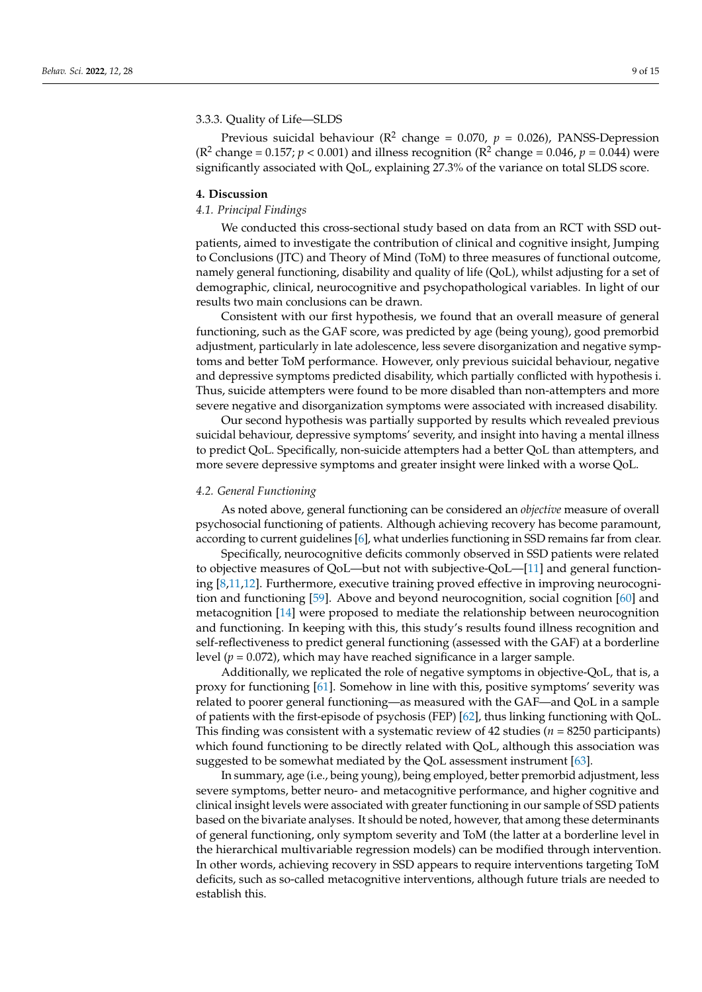## 3.3.3. Quality of Life—SLDS

Previous suicidal behaviour ( $\mathbb{R}^2$  change = 0.070,  $p = 0.026$ ), PANSS-Depression ( $\mathbb{R}^2$  change = 0.157;  $p < 0.001$ ) and illness recognition ( $\mathbb{R}^2$  change = 0.046,  $p = 0.044$ ) were significantly associated with QoL, explaining 27.3% of the variance on total SLDS score.

#### **4. Discussion**

#### *4.1. Principal Findings*

We conducted this cross-sectional study based on data from an RCT with SSD outpatients, aimed to investigate the contribution of clinical and cognitive insight, Jumping to Conclusions (JTC) and Theory of Mind (ToM) to three measures of functional outcome, namely general functioning, disability and quality of life (QoL), whilst adjusting for a set of demographic, clinical, neurocognitive and psychopathological variables. In light of our results two main conclusions can be drawn.

Consistent with our first hypothesis, we found that an overall measure of general functioning, such as the GAF score, was predicted by age (being young), good premorbid adjustment, particularly in late adolescence, less severe disorganization and negative symptoms and better ToM performance. However, only previous suicidal behaviour, negative and depressive symptoms predicted disability, which partially conflicted with hypothesis i. Thus, suicide attempters were found to be more disabled than non-attempters and more severe negative and disorganization symptoms were associated with increased disability.

Our second hypothesis was partially supported by results which revealed previous suicidal behaviour, depressive symptoms' severity, and insight into having a mental illness to predict QoL. Specifically, non-suicide attempters had a better QoL than attempters, and more severe depressive symptoms and greater insight were linked with a worse QoL.

#### *4.2. General Functioning*

As noted above, general functioning can be considered an *objective* measure of overall psychosocial functioning of patients. Although achieving recovery has become paramount, according to current guidelines [\[6\]](#page-11-5), what underlies functioning in SSD remains far from clear.

Specifically, neurocognitive deficits commonly observed in SSD patients were related to objective measures of QoL—but not with subjective-QoL—[\[11\]](#page-11-10) and general functioning [\[8,](#page-11-7)[11,](#page-11-10)[12\]](#page-11-11). Furthermore, executive training proved effective in improving neurocognition and functioning [\[59\]](#page-13-15). Above and beyond neurocognition, social cognition [\[60\]](#page-13-16) and metacognition [\[14\]](#page-11-13) were proposed to mediate the relationship between neurocognition and functioning. In keeping with this, this study's results found illness recognition and self-reflectiveness to predict general functioning (assessed with the GAF) at a borderline level (*p* = 0.072), which may have reached significance in a larger sample.

Additionally, we replicated the role of negative symptoms in objective-QoL, that is, a proxy for functioning [\[61\]](#page-13-17). Somehow in line with this, positive symptoms' severity was related to poorer general functioning—as measured with the GAF—and QoL in a sample of patients with the first-episode of psychosis (FEP) [\[62\]](#page-13-18), thus linking functioning with QoL. This finding was consistent with a systematic review of 42 studies (*n* = 8250 participants) which found functioning to be directly related with QoL, although this association was suggested to be somewhat mediated by the QoL assessment instrument [\[63\]](#page-13-19).

In summary, age (i.e., being young), being employed, better premorbid adjustment, less severe symptoms, better neuro- and metacognitive performance, and higher cognitive and clinical insight levels were associated with greater functioning in our sample of SSD patients based on the bivariate analyses. It should be noted, however, that among these determinants of general functioning, only symptom severity and ToM (the latter at a borderline level in the hierarchical multivariable regression models) can be modified through intervention. In other words, achieving recovery in SSD appears to require interventions targeting ToM deficits, such as so-called metacognitive interventions, although future trials are needed to establish this.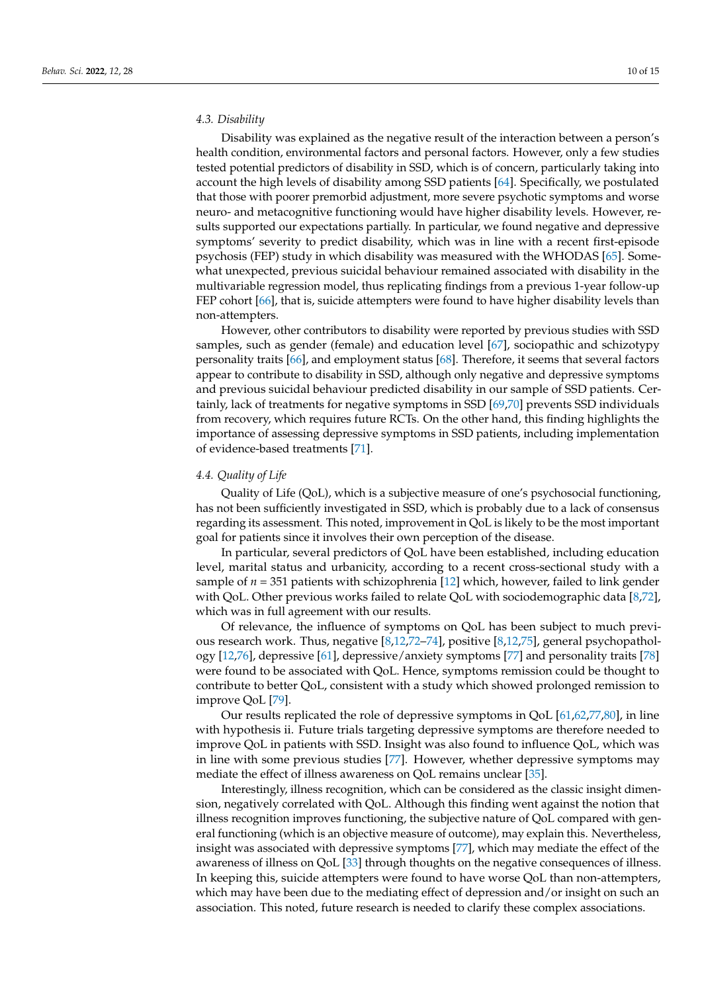#### *4.3. Disability*

Disability was explained as the negative result of the interaction between a person's health condition, environmental factors and personal factors. However, only a few studies tested potential predictors of disability in SSD, which is of concern, particularly taking into account the high levels of disability among SSD patients [\[64\]](#page-13-20). Specifically, we postulated that those with poorer premorbid adjustment, more severe psychotic symptoms and worse neuro- and metacognitive functioning would have higher disability levels. However, results supported our expectations partially. In particular, we found negative and depressive symptoms' severity to predict disability, which was in line with a recent first-episode psychosis (FEP) study in which disability was measured with the WHODAS [\[65\]](#page-13-21). Somewhat unexpected, previous suicidal behaviour remained associated with disability in the multivariable regression model, thus replicating findings from a previous 1-year follow-up FEP cohort [\[66\]](#page-13-22), that is, suicide attempters were found to have higher disability levels than non-attempters.

However, other contributors to disability were reported by previous studies with SSD samples, such as gender (female) and education level [\[67\]](#page-13-23), sociopathic and schizotypy personality traits [\[66\]](#page-13-22), and employment status [\[68\]](#page-13-24). Therefore, it seems that several factors appear to contribute to disability in SSD, although only negative and depressive symptoms and previous suicidal behaviour predicted disability in our sample of SSD patients. Certainly, lack of treatments for negative symptoms in SSD [\[69,](#page-14-0)[70\]](#page-14-1) prevents SSD individuals from recovery, which requires future RCTs. On the other hand, this finding highlights the importance of assessing depressive symptoms in SSD patients, including implementation of evidence-based treatments [\[71\]](#page-14-2).

#### *4.4. Quality of Life*

Quality of Life (QoL), which is a subjective measure of one's psychosocial functioning, has not been sufficiently investigated in SSD, which is probably due to a lack of consensus regarding its assessment. This noted, improvement in QoL is likely to be the most important goal for patients since it involves their own perception of the disease.

In particular, several predictors of QoL have been established, including education level, marital status and urbanicity, according to a recent cross-sectional study with a sample of *n* = 351 patients with schizophrenia [\[12\]](#page-11-11) which, however, failed to link gender with QoL. Other previous works failed to relate QoL with sociodemographic data [\[8,](#page-11-7)[72\]](#page-14-3), which was in full agreement with our results.

Of relevance, the influence of symptoms on QoL has been subject to much previous research work. Thus, negative [\[8,](#page-11-7)[12,](#page-11-11)[72–](#page-14-3)[74\]](#page-14-4), positive [\[8,](#page-11-7)[12,](#page-11-11)[75\]](#page-14-5), general psychopathology [\[12,](#page-11-11)[76\]](#page-14-6), depressive [\[61\]](#page-13-17), depressive/anxiety symptoms [\[77\]](#page-14-7) and personality traits [\[78\]](#page-14-8) were found to be associated with QoL. Hence, symptoms remission could be thought to contribute to better QoL, consistent with a study which showed prolonged remission to improve QoL [\[79\]](#page-14-9).

Our results replicated the role of depressive symptoms in QoL [\[61](#page-13-17)[,62](#page-13-18)[,77](#page-14-7)[,80\]](#page-14-10), in line with hypothesis ii. Future trials targeting depressive symptoms are therefore needed to improve QoL in patients with SSD. Insight was also found to influence QoL, which was in line with some previous studies [\[77\]](#page-14-7). However, whether depressive symptoms may mediate the effect of illness awareness on QoL remains unclear [\[35\]](#page-12-12).

Interestingly, illness recognition, which can be considered as the classic insight dimension, negatively correlated with QoL. Although this finding went against the notion that illness recognition improves functioning, the subjective nature of QoL compared with general functioning (which is an objective measure of outcome), may explain this. Nevertheless, insight was associated with depressive symptoms [\[77\]](#page-14-7), which may mediate the effect of the awareness of illness on QoL [\[33\]](#page-12-10) through thoughts on the negative consequences of illness. In keeping this, suicide attempters were found to have worse QoL than non-attempters, which may have been due to the mediating effect of depression and/or insight on such an association. This noted, future research is needed to clarify these complex associations.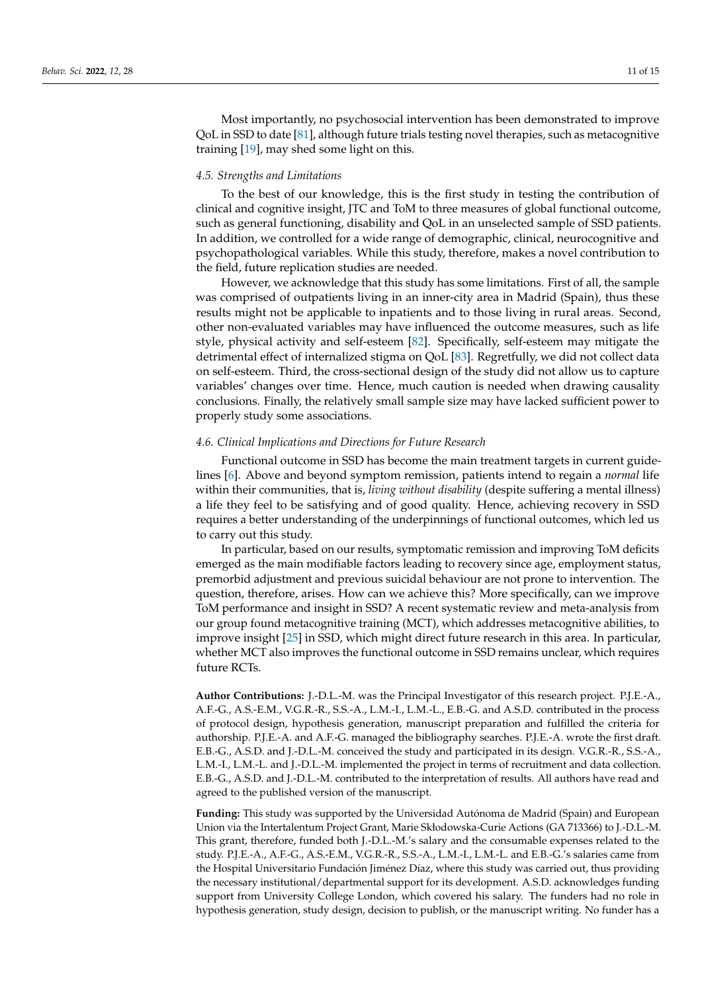Most importantly, no psychosocial intervention has been demonstrated to improve QoL in SSD to date [\[81\]](#page-14-11), although future trials testing novel therapies, such as metacognitive training [\[19\]](#page-11-18), may shed some light on this.

## *4.5. Strengths and Limitations*

To the best of our knowledge, this is the first study in testing the contribution of clinical and cognitive insight, JTC and ToM to three measures of global functional outcome, such as general functioning, disability and QoL in an unselected sample of SSD patients. In addition, we controlled for a wide range of demographic, clinical, neurocognitive and psychopathological variables. While this study, therefore, makes a novel contribution to the field, future replication studies are needed.

However, we acknowledge that this study has some limitations. First of all, the sample was comprised of outpatients living in an inner-city area in Madrid (Spain), thus these results might not be applicable to inpatients and to those living in rural areas. Second, other non-evaluated variables may have influenced the outcome measures, such as life style, physical activity and self-esteem [\[82\]](#page-14-12). Specifically, self-esteem may mitigate the detrimental effect of internalized stigma on QoL [\[83\]](#page-14-13). Regretfully, we did not collect data on self-esteem. Third, the cross-sectional design of the study did not allow us to capture variables' changes over time. Hence, much caution is needed when drawing causality conclusions. Finally, the relatively small sample size may have lacked sufficient power to properly study some associations.

## *4.6. Clinical Implications and Directions for Future Research*

Functional outcome in SSD has become the main treatment targets in current guidelines [\[6\]](#page-11-5). Above and beyond symptom remission, patients intend to regain a *normal* life within their communities, that is, *living without disability* (despite suffering a mental illness) a life they feel to be satisfying and of good quality. Hence, achieving recovery in SSD requires a better understanding of the underpinnings of functional outcomes, which led us to carry out this study.

In particular, based on our results, symptomatic remission and improving ToM deficits emerged as the main modifiable factors leading to recovery since age, employment status, premorbid adjustment and previous suicidal behaviour are not prone to intervention. The question, therefore, arises. How can we achieve this? More specifically, can we improve ToM performance and insight in SSD? A recent systematic review and meta-analysis from our group found metacognitive training (MCT), which addresses metacognitive abilities, to improve insight [\[25\]](#page-12-3) in SSD, which might direct future research in this area. In particular, whether MCT also improves the functional outcome in SSD remains unclear, which requires future RCTs.

**Author Contributions:** J.-D.L.-M. was the Principal Investigator of this research project. P.J.E.-A., A.F.-G., A.S.-E.M., V.G.R.-R., S.S.-A., L.M.-I., L.M.-L., E.B.-G. and A.S.D. contributed in the process of protocol design, hypothesis generation, manuscript preparation and fulfilled the criteria for authorship. P.J.E.-A. and A.F.-G. managed the bibliography searches. P.J.E.-A. wrote the first draft. E.B.-G., A.S.D. and J.-D.L.-M. conceived the study and participated in its design. V.G.R.-R., S.S.-A., L.M.-I., L.M.-L. and J.-D.L.-M. implemented the project in terms of recruitment and data collection. E.B.-G., A.S.D. and J.-D.L.-M. contributed to the interpretation of results. All authors have read and agreed to the published version of the manuscript.

**Funding:** This study was supported by the Universidad Autónoma de Madrid (Spain) and European Union via the Intertalentum Project Grant, Marie Skłodowska-Curie Actions (GA 713366) to J.-D.L.-M. This grant, therefore, funded both J.-D.L.-M.'s salary and the consumable expenses related to the study. P.J.E.-A., A.F.-G., A.S.-E.M., V.G.R.-R., S.S.-A., L.M.-I., L.M.-L. and E.B.-G.'s salaries came from the Hospital Universitario Fundación Jiménez Díaz, where this study was carried out, thus providing the necessary institutional/departmental support for its development. A.S.D. acknowledges funding support from University College London, which covered his salary. The funders had no role in hypothesis generation, study design, decision to publish, or the manuscript writing. No funder has a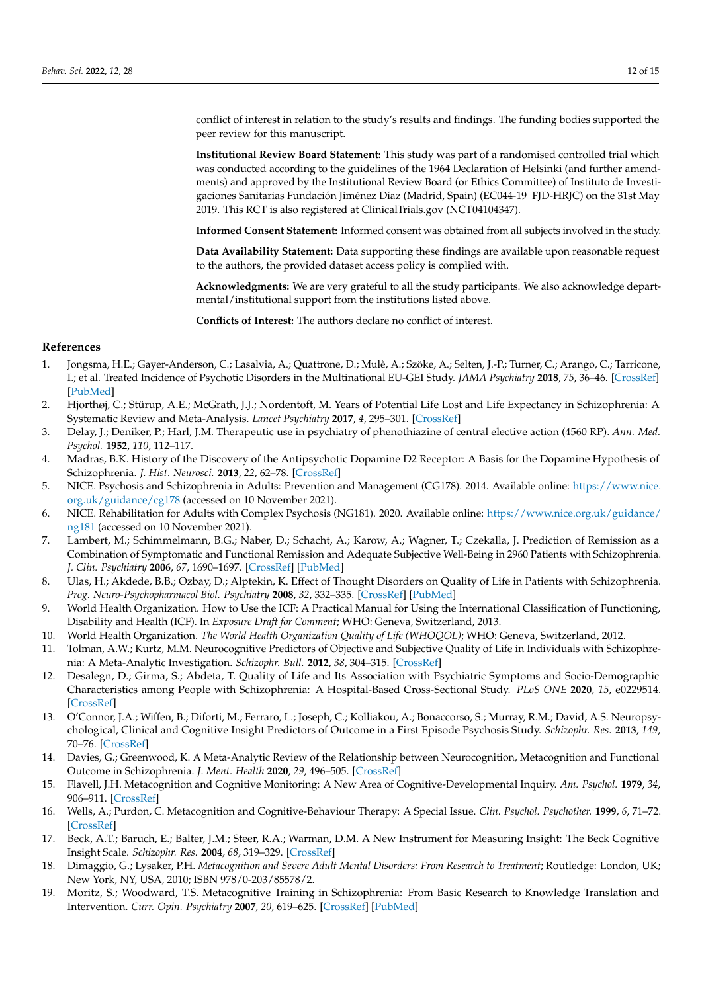conflict of interest in relation to the study's results and findings. The funding bodies supported the peer review for this manuscript.

**Institutional Review Board Statement:** This study was part of a randomised controlled trial which was conducted according to the guidelines of the 1964 Declaration of Helsinki (and further amendments) and approved by the Institutional Review Board (or Ethics Committee) of Instituto de Investigaciones Sanitarias Fundación Jiménez Díaz (Madrid, Spain) (EC044-19\_FJD-HRJC) on the 31st May 2019. This RCT is also registered at ClinicalTrials.gov (NCT04104347).

**Informed Consent Statement:** Informed consent was obtained from all subjects involved in the study.

**Data Availability Statement:** Data supporting these findings are available upon reasonable request to the authors, the provided dataset access policy is complied with.

**Acknowledgments:** We are very grateful to all the study participants. We also acknowledge departmental/institutional support from the institutions listed above.

**Conflicts of Interest:** The authors declare no conflict of interest.

#### **References**

- <span id="page-11-0"></span>1. Jongsma, H.E.; Gayer-Anderson, C.; Lasalvia, A.; Quattrone, D.; Mulè, A.; Szöke, A.; Selten, J.-P.; Turner, C.; Arango, C.; Tarricone, I.; et al. Treated Incidence of Psychotic Disorders in the Multinational EU-GEI Study. *JAMA Psychiatry* **2018**, *75*, 36–46. [\[CrossRef\]](http://doi.org/10.1001/jamapsychiatry.2017.3554) [\[PubMed\]](http://www.ncbi.nlm.nih.gov/pubmed/29214289)
- <span id="page-11-1"></span>2. Hjorthøj, C.; Stürup, A.E.; McGrath, J.J.; Nordentoft, M. Years of Potential Life Lost and Life Expectancy in Schizophrenia: A Systematic Review and Meta-Analysis. *Lancet Psychiatry* **2017**, *4*, 295–301. [\[CrossRef\]](http://doi.org/10.1016/S2215-0366(17)30078-0)
- <span id="page-11-2"></span>3. Delay, J.; Deniker, P.; Harl, J.M. Therapeutic use in psychiatry of phenothiazine of central elective action (4560 RP). *Ann. Med. Psychol.* **1952**, *110*, 112–117.
- <span id="page-11-3"></span>4. Madras, B.K. History of the Discovery of the Antipsychotic Dopamine D2 Receptor: A Basis for the Dopamine Hypothesis of Schizophrenia. *J. Hist. Neurosci.* **2013**, *22*, 62–78. [\[CrossRef\]](http://doi.org/10.1080/0964704X.2012.678199)
- <span id="page-11-4"></span>5. NICE. Psychosis and Schizophrenia in Adults: Prevention and Management (CG178). 2014. Available online: [https://www.nice.](https://www.nice.org.uk/guidance/cg178) [org.uk/guidance/cg178](https://www.nice.org.uk/guidance/cg178) (accessed on 10 November 2021).
- <span id="page-11-5"></span>6. NICE. Rehabilitation for Adults with Complex Psychosis (NG181). 2020. Available online: [https://www.nice.org.uk/guidance/](https://www.nice.org.uk/guidance/ng181) [ng181](https://www.nice.org.uk/guidance/ng181) (accessed on 10 November 2021).
- <span id="page-11-6"></span>7. Lambert, M.; Schimmelmann, B.G.; Naber, D.; Schacht, A.; Karow, A.; Wagner, T.; Czekalla, J. Prediction of Remission as a Combination of Symptomatic and Functional Remission and Adequate Subjective Well-Being in 2960 Patients with Schizophrenia. *J. Clin. Psychiatry* **2006**, *67*, 1690–1697. [\[CrossRef\]](http://doi.org/10.4088/JCP.v67n1104) [\[PubMed\]](http://www.ncbi.nlm.nih.gov/pubmed/17196047)
- <span id="page-11-7"></span>8. Ulas, H.; Akdede, B.B.; Ozbay, D.; Alptekin, K. Effect of Thought Disorders on Quality of Life in Patients with Schizophrenia. *Prog. Neuro-Psychopharmacol Biol. Psychiatry* **2008**, *32*, 332–335. [\[CrossRef\]](http://doi.org/10.1016/j.pnpbp.2007.08.033) [\[PubMed\]](http://www.ncbi.nlm.nih.gov/pubmed/17854967)
- <span id="page-11-8"></span>9. World Health Organization. How to Use the ICF: A Practical Manual for Using the International Classification of Functioning, Disability and Health (ICF). In *Exposure Draft for Comment*; WHO: Geneva, Switzerland, 2013.
- <span id="page-11-9"></span>10. World Health Organization. *The World Health Organization Quality of Life (WHOQOL)*; WHO: Geneva, Switzerland, 2012.
- <span id="page-11-10"></span>11. Tolman, A.W.; Kurtz, M.M. Neurocognitive Predictors of Objective and Subjective Quality of Life in Individuals with Schizophrenia: A Meta-Analytic Investigation. *Schizophr. Bull.* **2012**, *38*, 304–315. [\[CrossRef\]](http://doi.org/10.1093/schbul/sbq077)
- <span id="page-11-11"></span>12. Desalegn, D.; Girma, S.; Abdeta, T. Quality of Life and Its Association with Psychiatric Symptoms and Socio-Demographic Characteristics among People with Schizophrenia: A Hospital-Based Cross-Sectional Study. *PLoS ONE* **2020**, *15*, e0229514. [\[CrossRef\]](http://doi.org/10.1371/journal.pone.0229514)
- <span id="page-11-12"></span>13. O'Connor, J.A.; Wiffen, B.; Diforti, M.; Ferraro, L.; Joseph, C.; Kolliakou, A.; Bonaccorso, S.; Murray, R.M.; David, A.S. Neuropsychological, Clinical and Cognitive Insight Predictors of Outcome in a First Episode Psychosis Study. *Schizophr. Res.* **2013**, *149*, 70–76. [\[CrossRef\]](http://doi.org/10.1016/j.schres.2013.06.005)
- <span id="page-11-13"></span>14. Davies, G.; Greenwood, K. A Meta-Analytic Review of the Relationship between Neurocognition, Metacognition and Functional Outcome in Schizophrenia. *J. Ment. Health* **2020**, *29*, 496–505. [\[CrossRef\]](http://doi.org/10.1080/09638237.2018.1521930)
- <span id="page-11-14"></span>15. Flavell, J.H. Metacognition and Cognitive Monitoring: A New Area of Cognitive-Developmental Inquiry. *Am. Psychol.* **1979**, *34*, 906–911. [\[CrossRef\]](http://doi.org/10.1037/0003-066X.34.10.906)
- <span id="page-11-15"></span>16. Wells, A.; Purdon, C. Metacognition and Cognitive-Behaviour Therapy: A Special Issue. *Clin. Psychol. Psychother.* **1999**, *6*, 71–72. [\[CrossRef\]](http://doi.org/10.1002/(SICI)1099-0879(199905)6:2<71::AID-CPP186>3.0.CO;2-G)
- <span id="page-11-16"></span>17. Beck, A.T.; Baruch, E.; Balter, J.M.; Steer, R.A.; Warman, D.M. A New Instrument for Measuring Insight: The Beck Cognitive Insight Scale. *Schizophr. Res.* **2004**, *68*, 319–329. [\[CrossRef\]](http://doi.org/10.1016/S0920-9964(03)00189-0)
- <span id="page-11-17"></span>18. Dimaggio, G.; Lysaker, P.H. *Metacognition and Severe Adult Mental Disorders: From Research to Treatment*; Routledge: London, UK; New York, NY, USA, 2010; ISBN 978/0-203/85578/2.
- <span id="page-11-18"></span>19. Moritz, S.; Woodward, T.S. Metacognitive Training in Schizophrenia: From Basic Research to Knowledge Translation and Intervention. *Curr. Opin. Psychiatry* **2007**, *20*, 619–625. [\[CrossRef\]](http://doi.org/10.1097/YCO.0b013e3282f0b8ed) [\[PubMed\]](http://www.ncbi.nlm.nih.gov/pubmed/17921766)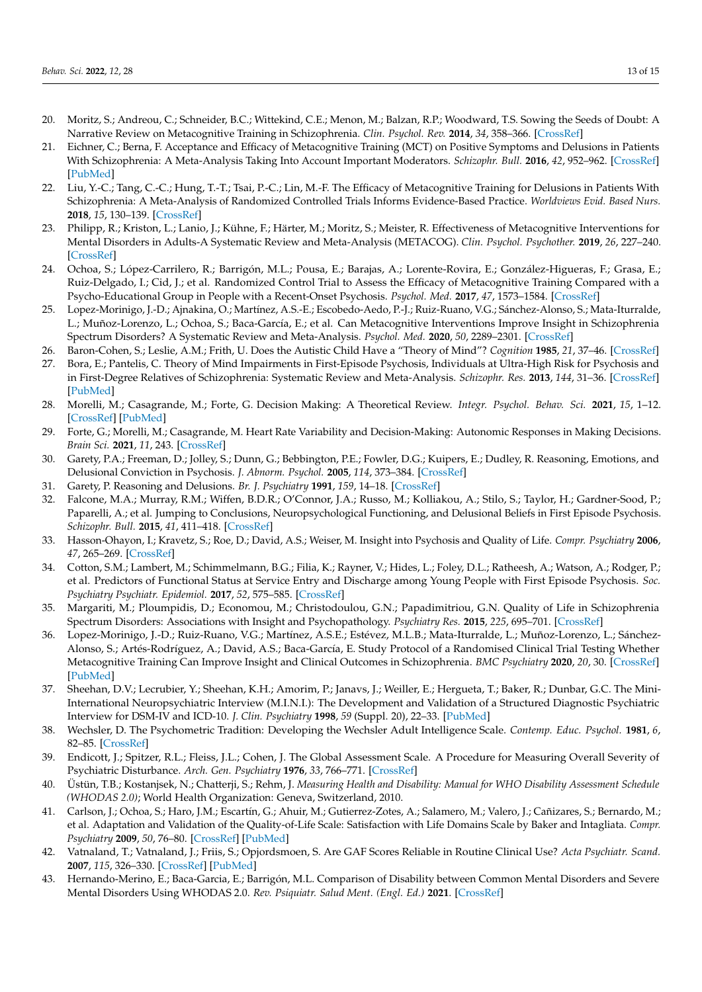- <span id="page-12-0"></span>20. Moritz, S.; Andreou, C.; Schneider, B.C.; Wittekind, C.E.; Menon, M.; Balzan, R.P.; Woodward, T.S. Sowing the Seeds of Doubt: A Narrative Review on Metacognitive Training in Schizophrenia. *Clin. Psychol. Rev.* **2014**, *34*, 358–366. [\[CrossRef\]](http://doi.org/10.1016/j.cpr.2014.04.004)
- 21. Eichner, C.; Berna, F. Acceptance and Efficacy of Metacognitive Training (MCT) on Positive Symptoms and Delusions in Patients With Schizophrenia: A Meta-Analysis Taking Into Account Important Moderators. *Schizophr. Bull.* **2016**, *42*, 952–962. [\[CrossRef\]](http://doi.org/10.1093/schbul/sbv225) [\[PubMed\]](http://www.ncbi.nlm.nih.gov/pubmed/26748396)
- 22. Liu, Y.-C.; Tang, C.-C.; Hung, T.-T.; Tsai, P.-C.; Lin, M.-F. The Efficacy of Metacognitive Training for Delusions in Patients With Schizophrenia: A Meta-Analysis of Randomized Controlled Trials Informs Evidence-Based Practice. *Worldviews Evid. Based Nurs.* **2018**, *15*, 130–139. [\[CrossRef\]](http://doi.org/10.1111/wvn.12282)
- <span id="page-12-1"></span>23. Philipp, R.; Kriston, L.; Lanio, J.; Kühne, F.; Härter, M.; Moritz, S.; Meister, R. Effectiveness of Metacognitive Interventions for Mental Disorders in Adults-A Systematic Review and Meta-Analysis (METACOG). *Clin. Psychol. Psychother.* **2019**, *26*, 227–240. [\[CrossRef\]](http://doi.org/10.1002/cpp.2345)
- <span id="page-12-2"></span>24. Ochoa, S.; López-Carrilero, R.; Barrigón, M.L.; Pousa, E.; Barajas, A.; Lorente-Rovira, E.; González-Higueras, F.; Grasa, E.; Ruiz-Delgado, I.; Cid, J.; et al. Randomized Control Trial to Assess the Efficacy of Metacognitive Training Compared with a Psycho-Educational Group in People with a Recent-Onset Psychosis. *Psychol. Med.* **2017**, *47*, 1573–1584. [\[CrossRef\]](http://doi.org/10.1017/S0033291716003421)
- <span id="page-12-3"></span>25. Lopez-Morinigo, J.-D.; Ajnakina, O.; Martínez, A.S.-E.; Escobedo-Aedo, P.-J.; Ruiz-Ruano, V.G.; Sánchez-Alonso, S.; Mata-Iturralde, L.; Muñoz-Lorenzo, L.; Ochoa, S.; Baca-García, E.; et al. Can Metacognitive Interventions Improve Insight in Schizophrenia Spectrum Disorders? A Systematic Review and Meta-Analysis. *Psychol. Med.* **2020**, *50*, 2289–2301. [\[CrossRef\]](http://doi.org/10.1017/S0033291720003384)
- <span id="page-12-4"></span>26. Baron-Cohen, S.; Leslie, A.M.; Frith, U. Does the Autistic Child Have a "Theory of Mind"? *Cognition* **1985**, *21*, 37–46. [\[CrossRef\]](http://doi.org/10.1016/0010-0277(85)90022-8)
- <span id="page-12-5"></span>27. Bora, E.; Pantelis, C. Theory of Mind Impairments in First-Episode Psychosis, Individuals at Ultra-High Risk for Psychosis and in First-Degree Relatives of Schizophrenia: Systematic Review and Meta-Analysis. *Schizophr. Res.* **2013**, *144*, 31–36. [\[CrossRef\]](http://doi.org/10.1016/j.schres.2012.12.013) [\[PubMed\]](http://www.ncbi.nlm.nih.gov/pubmed/23347949)
- <span id="page-12-6"></span>28. Morelli, M.; Casagrande, M.; Forte, G. Decision Making: A Theoretical Review. *Integr. Psychol. Behav. Sci.* **2021**, *15*, 1–12. [\[CrossRef\]](http://doi.org/10.1007/s12124-021-09669-x) [\[PubMed\]](http://www.ncbi.nlm.nih.gov/pubmed/34780011)
- <span id="page-12-7"></span>29. Forte, G.; Morelli, M.; Casagrande, M. Heart Rate Variability and Decision-Making: Autonomic Responses in Making Decisions. *Brain Sci.* **2021**, *11*, 243. [\[CrossRef\]](http://doi.org/10.3390/brainsci11020243)
- <span id="page-12-8"></span>30. Garety, P.A.; Freeman, D.; Jolley, S.; Dunn, G.; Bebbington, P.E.; Fowler, D.G.; Kuipers, E.; Dudley, R. Reasoning, Emotions, and Delusional Conviction in Psychosis. *J. Abnorm. Psychol.* **2005**, *114*, 373–384. [\[CrossRef\]](http://doi.org/10.1037/0021-843X.114.3.373)
- 31. Garety, P. Reasoning and Delusions. *Br. J. Psychiatry* **1991**, *159*, 14–18. [\[CrossRef\]](http://doi.org/10.1192/S0007125000296426)
- <span id="page-12-9"></span>32. Falcone, M.A.; Murray, R.M.; Wiffen, B.D.R.; O'Connor, J.A.; Russo, M.; Kolliakou, A.; Stilo, S.; Taylor, H.; Gardner-Sood, P.; Paparelli, A.; et al. Jumping to Conclusions, Neuropsychological Functioning, and Delusional Beliefs in First Episode Psychosis. *Schizophr. Bull.* **2015**, *41*, 411–418. [\[CrossRef\]](http://doi.org/10.1093/schbul/sbu104)
- <span id="page-12-10"></span>33. Hasson-Ohayon, I.; Kravetz, S.; Roe, D.; David, A.S.; Weiser, M. Insight into Psychosis and Quality of Life. *Compr. Psychiatry* **2006**, *47*, 265–269. [\[CrossRef\]](http://doi.org/10.1016/j.comppsych.2005.08.006)
- <span id="page-12-11"></span>34. Cotton, S.M.; Lambert, M.; Schimmelmann, B.G.; Filia, K.; Rayner, V.; Hides, L.; Foley, D.L.; Ratheesh, A.; Watson, A.; Rodger, P.; et al. Predictors of Functional Status at Service Entry and Discharge among Young People with First Episode Psychosis. *Soc. Psychiatry Psychiatr. Epidemiol.* **2017**, *52*, 575–585. [\[CrossRef\]](http://doi.org/10.1007/s00127-017-1358-0)
- <span id="page-12-12"></span>35. Margariti, M.; Ploumpidis, D.; Economou, M.; Christodoulou, G.N.; Papadimitriou, G.N. Quality of Life in Schizophrenia Spectrum Disorders: Associations with Insight and Psychopathology. *Psychiatry Res.* **2015**, *225*, 695–701. [\[CrossRef\]](http://doi.org/10.1016/j.psychres.2014.11.016)
- <span id="page-12-13"></span>36. Lopez-Morinigo, J.-D.; Ruiz-Ruano, V.G.; Martínez, A.S.E.; Estévez, M.L.B.; Mata-Iturralde, L.; Muñoz-Lorenzo, L.; Sánchez-Alonso, S.; Artés-Rodríguez, A.; David, A.S.; Baca-García, E. Study Protocol of a Randomised Clinical Trial Testing Whether Metacognitive Training Can Improve Insight and Clinical Outcomes in Schizophrenia. *BMC Psychiatry* **2020**, *20*, 30. [\[CrossRef\]](http://doi.org/10.1186/s12888-020-2431-x) [\[PubMed\]](http://www.ncbi.nlm.nih.gov/pubmed/31996174)
- <span id="page-12-14"></span>37. Sheehan, D.V.; Lecrubier, Y.; Sheehan, K.H.; Amorim, P.; Janavs, J.; Weiller, E.; Hergueta, T.; Baker, R.; Dunbar, G.C. The Mini-International Neuropsychiatric Interview (M.I.N.I.): The Development and Validation of a Structured Diagnostic Psychiatric Interview for DSM-IV and ICD-10. *J. Clin. Psychiatry* **1998**, *59* (Suppl. 20), 22–33. [\[PubMed\]](http://www.ncbi.nlm.nih.gov/pubmed/9881538)
- <span id="page-12-15"></span>38. Wechsler, D. The Psychometric Tradition: Developing the Wechsler Adult Intelligence Scale. *Contemp. Educ. Psychol.* **1981**, *6*, 82–85. [\[CrossRef\]](http://doi.org/10.1016/0361-476X(81)90035-7)
- <span id="page-12-16"></span>39. Endicott, J.; Spitzer, R.L.; Fleiss, J.L.; Cohen, J. The Global Assessment Scale. A Procedure for Measuring Overall Severity of Psychiatric Disturbance. *Arch. Gen. Psychiatry* **1976**, *33*, 766–771. [\[CrossRef\]](http://doi.org/10.1001/archpsyc.1976.01770060086012)
- <span id="page-12-17"></span>40. Üstün, T.B.; Kostanjsek, N.; Chatterji, S.; Rehm, J. *Measuring Health and Disability: Manual for WHO Disability Assessment Schedule (WHODAS 2.0)*; World Health Organization: Geneva, Switzerland, 2010.
- <span id="page-12-18"></span>41. Carlson, J.; Ochoa, S.; Haro, J.M.; Escartín, G.; Ahuir, M.; Gutierrez-Zotes, A.; Salamero, M.; Valero, J.; Cañizares, S.; Bernardo, M.; et al. Adaptation and Validation of the Quality-of-Life Scale: Satisfaction with Life Domains Scale by Baker and Intagliata. *Compr. Psychiatry* **2009**, *50*, 76–80. [\[CrossRef\]](http://doi.org/10.1016/j.comppsych.2008.05.008) [\[PubMed\]](http://www.ncbi.nlm.nih.gov/pubmed/19059518)
- <span id="page-12-19"></span>42. Vatnaland, T.; Vatnaland, J.; Friis, S.; Opjordsmoen, S. Are GAF Scores Reliable in Routine Clinical Use? *Acta Psychiatr. Scand.* **2007**, *115*, 326–330. [\[CrossRef\]](http://doi.org/10.1111/j.1600-0447.2006.00925.x) [\[PubMed\]](http://www.ncbi.nlm.nih.gov/pubmed/17355524)
- <span id="page-12-20"></span>43. Hernando-Merino, E.; Baca-Garcia, E.; Barrigón, M.L. Comparison of Disability between Common Mental Disorders and Severe Mental Disorders Using WHODAS 2.0. *Rev. Psiquiatr. Salud Ment. (Engl. Ed.)* **2021**. [\[CrossRef\]](http://doi.org/10.1016/j.rpsm.2021.08.004)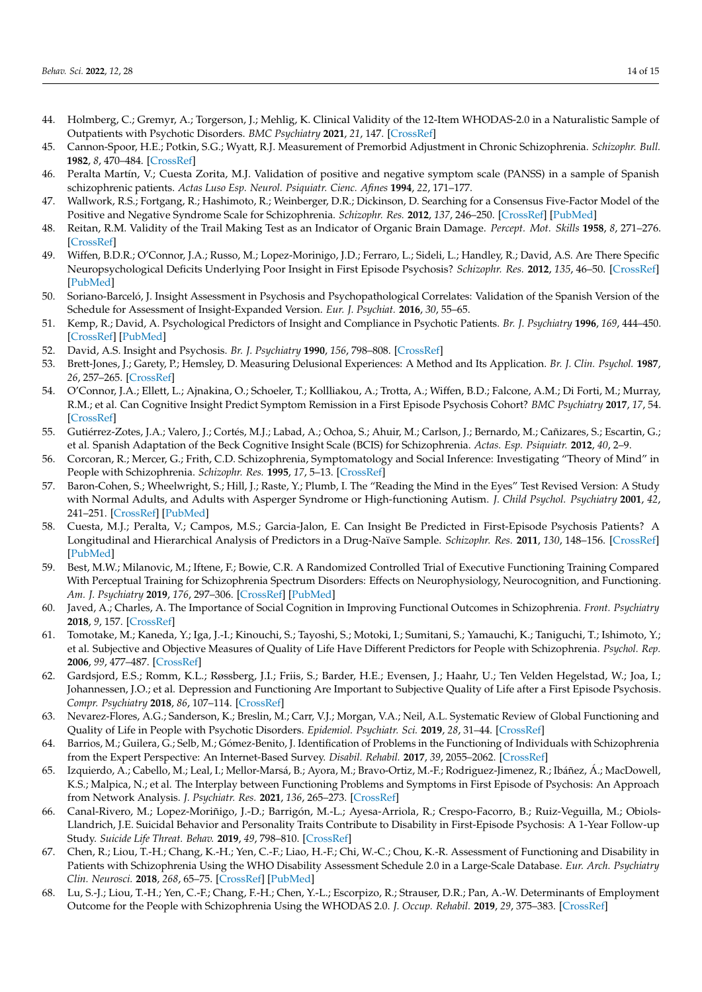- <span id="page-13-0"></span>44. Holmberg, C.; Gremyr, A.; Torgerson, J.; Mehlig, K. Clinical Validity of the 12-Item WHODAS-2.0 in a Naturalistic Sample of Outpatients with Psychotic Disorders. *BMC Psychiatry* **2021**, *21*, 147. [\[CrossRef\]](http://doi.org/10.1186/s12888-021-03101-9)
- <span id="page-13-1"></span>45. Cannon-Spoor, H.E.; Potkin, S.G.; Wyatt, R.J. Measurement of Premorbid Adjustment in Chronic Schizophrenia. *Schizophr. Bull.* **1982**, *8*, 470–484. [\[CrossRef\]](http://doi.org/10.1093/schbul/8.3.470)
- <span id="page-13-2"></span>46. Peralta Martín, V.; Cuesta Zorita, M.J. Validation of positive and negative symptom scale (PANSS) in a sample of Spanish schizophrenic patients. *Actas Luso Esp. Neurol. Psiquiatr. Cienc. Afines* **1994**, *22*, 171–177.
- <span id="page-13-3"></span>47. Wallwork, R.S.; Fortgang, R.; Hashimoto, R.; Weinberger, D.R.; Dickinson, D. Searching for a Consensus Five-Factor Model of the Positive and Negative Syndrome Scale for Schizophrenia. *Schizophr. Res.* **2012**, *137*, 246–250. [\[CrossRef\]](http://doi.org/10.1016/j.schres.2012.01.031) [\[PubMed\]](http://www.ncbi.nlm.nih.gov/pubmed/22356801)
- <span id="page-13-4"></span>48. Reitan, R.M. Validity of the Trail Making Test as an Indicator of Organic Brain Damage. *Percept. Mot. Skills* **1958**, *8*, 271–276. [\[CrossRef\]](http://doi.org/10.2466/pms.1958.8.3.271)
- <span id="page-13-5"></span>49. Wiffen, B.D.R.; O'Connor, J.A.; Russo, M.; Lopez-Morinigo, J.D.; Ferraro, L.; Sideli, L.; Handley, R.; David, A.S. Are There Specific Neuropsychological Deficits Underlying Poor Insight in First Episode Psychosis? *Schizophr. Res.* **2012**, *135*, 46–50. [\[CrossRef\]](http://doi.org/10.1016/j.schres.2011.11.017) [\[PubMed\]](http://www.ncbi.nlm.nih.gov/pubmed/22138047)
- <span id="page-13-6"></span>50. Soriano-Barceló, J. Insight Assessment in Psychosis and Psychopathological Correlates: Validation of the Spanish Version of the Schedule for Assessment of Insight-Expanded Version. *Eur. J. Psychiat.* **2016**, *30*, 55–65.
- <span id="page-13-7"></span>51. Kemp, R.; David, A. Psychological Predictors of Insight and Compliance in Psychotic Patients. *Br. J. Psychiatry* **1996**, *169*, 444–450. [\[CrossRef\]](http://doi.org/10.1192/bjp.169.4.444) [\[PubMed\]](http://www.ncbi.nlm.nih.gov/pubmed/8894195)
- <span id="page-13-8"></span>52. David, A.S. Insight and Psychosis. *Br. J. Psychiatry* **1990**, *156*, 798–808. [\[CrossRef\]](http://doi.org/10.1192/bjp.156.6.798)
- <span id="page-13-9"></span>53. Brett-Jones, J.; Garety, P.; Hemsley, D. Measuring Delusional Experiences: A Method and Its Application. *Br. J. Clin. Psychol.* **1987**, *26*, 257–265. [\[CrossRef\]](http://doi.org/10.1111/j.2044-8260.1987.tb01359.x)
- <span id="page-13-10"></span>54. O'Connor, J.A.; Ellett, L.; Ajnakina, O.; Schoeler, T.; Kollliakou, A.; Trotta, A.; Wiffen, B.D.; Falcone, A.M.; Di Forti, M.; Murray, R.M.; et al. Can Cognitive Insight Predict Symptom Remission in a First Episode Psychosis Cohort? *BMC Psychiatry* **2017**, *17*, 54. [\[CrossRef\]](http://doi.org/10.1186/s12888-017-1210-9)
- <span id="page-13-11"></span>55. Gutiérrez-Zotes, J.A.; Valero, J.; Cortés, M.J.; Labad, A.; Ochoa, S.; Ahuir, M.; Carlson, J.; Bernardo, M.; Cañizares, S.; Escartin, G.; et al. Spanish Adaptation of the Beck Cognitive Insight Scale (BCIS) for Schizophrenia. *Actas. Esp. Psiquiatr.* **2012**, *40*, 2–9.
- <span id="page-13-12"></span>56. Corcoran, R.; Mercer, G.; Frith, C.D. Schizophrenia, Symptomatology and Social Inference: Investigating "Theory of Mind" in People with Schizophrenia. *Schizophr. Res.* **1995**, *17*, 5–13. [\[CrossRef\]](http://doi.org/10.1016/0920-9964(95)00024-G)
- <span id="page-13-13"></span>57. Baron-Cohen, S.; Wheelwright, S.; Hill, J.; Raste, Y.; Plumb, I. The "Reading the Mind in the Eyes" Test Revised Version: A Study with Normal Adults, and Adults with Asperger Syndrome or High-functioning Autism. *J. Child Psychol. Psychiatry* **2001**, *42*, 241–251. [\[CrossRef\]](http://doi.org/10.1111/1469-7610.00715) [\[PubMed\]](http://www.ncbi.nlm.nih.gov/pubmed/11280420)
- <span id="page-13-14"></span>58. Cuesta, M.J.; Peralta, V.; Campos, M.S.; Garcia-Jalon, E. Can Insight Be Predicted in First-Episode Psychosis Patients? A Longitudinal and Hierarchical Analysis of Predictors in a Drug-Naïve Sample. *Schizophr. Res.* **2011**, *130*, 148–156. [\[CrossRef\]](http://doi.org/10.1016/j.schres.2011.04.032) [\[PubMed\]](http://www.ncbi.nlm.nih.gov/pubmed/21632216)
- <span id="page-13-15"></span>59. Best, M.W.; Milanovic, M.; Iftene, F.; Bowie, C.R. A Randomized Controlled Trial of Executive Functioning Training Compared With Perceptual Training for Schizophrenia Spectrum Disorders: Effects on Neurophysiology, Neurocognition, and Functioning. *Am. J. Psychiatry* **2019**, *176*, 297–306. [\[CrossRef\]](http://doi.org/10.1176/appi.ajp.2018.18070849) [\[PubMed\]](http://www.ncbi.nlm.nih.gov/pubmed/30845819)
- <span id="page-13-16"></span>60. Javed, A.; Charles, A. The Importance of Social Cognition in Improving Functional Outcomes in Schizophrenia. *Front. Psychiatry* **2018**, *9*, 157. [\[CrossRef\]](http://doi.org/10.3389/fpsyt.2018.00157)
- <span id="page-13-17"></span>61. Tomotake, M.; Kaneda, Y.; Iga, J.-I.; Kinouchi, S.; Tayoshi, S.; Motoki, I.; Sumitani, S.; Yamauchi, K.; Taniguchi, T.; Ishimoto, Y.; et al. Subjective and Objective Measures of Quality of Life Have Different Predictors for People with Schizophrenia. *Psychol. Rep.* **2006**, *99*, 477–487. [\[CrossRef\]](http://doi.org/10.2466/pr0.99.2.477-487)
- <span id="page-13-18"></span>62. Gardsjord, E.S.; Romm, K.L.; Røssberg, J.I.; Friis, S.; Barder, H.E.; Evensen, J.; Haahr, U.; Ten Velden Hegelstad, W.; Joa, I.; Johannessen, J.O.; et al. Depression and Functioning Are Important to Subjective Quality of Life after a First Episode Psychosis. *Compr. Psychiatry* **2018**, *86*, 107–114. [\[CrossRef\]](http://doi.org/10.1016/j.comppsych.2018.07.014)
- <span id="page-13-19"></span>63. Nevarez-Flores, A.G.; Sanderson, K.; Breslin, M.; Carr, V.J.; Morgan, V.A.; Neil, A.L. Systematic Review of Global Functioning and Quality of Life in People with Psychotic Disorders. *Epidemiol. Psychiatr. Sci.* **2019**, *28*, 31–44. [\[CrossRef\]](http://doi.org/10.1017/S2045796018000549)
- <span id="page-13-20"></span>64. Barrios, M.; Guilera, G.; Selb, M.; Gómez-Benito, J. Identification of Problems in the Functioning of Individuals with Schizophrenia from the Expert Perspective: An Internet-Based Survey. *Disabil. Rehabil.* **2017**, *39*, 2055–2062. [\[CrossRef\]](http://doi.org/10.1080/09638288.2016.1217073)
- <span id="page-13-21"></span>65. Izquierdo, A.; Cabello, M.; Leal, I.; Mellor-Marsá, B.; Ayora, M.; Bravo-Ortiz, M.-F.; Rodriguez-Jimenez, R.; Ibáñez, Á.; MacDowell, K.S.; Malpica, N.; et al. The Interplay between Functioning Problems and Symptoms in First Episode of Psychosis: An Approach from Network Analysis. *J. Psychiatr. Res.* **2021**, *136*, 265–273. [\[CrossRef\]](http://doi.org/10.1016/j.jpsychires.2021.02.024)
- <span id="page-13-22"></span>66. Canal-Rivero, M.; Lopez-Moriñigo, J.-D.; Barrigón, M.-L.; Ayesa-Arriola, R.; Crespo-Facorro, B.; Ruiz-Veguilla, M.; Obiols-Llandrich, J.E. Suicidal Behavior and Personality Traits Contribute to Disability in First-Episode Psychosis: A 1-Year Follow-up Study. *Suicide Life Threat. Behav.* **2019**, *49*, 798–810. [\[CrossRef\]](http://doi.org/10.1111/sltb.12470)
- <span id="page-13-23"></span>67. Chen, R.; Liou, T.-H.; Chang, K.-H.; Yen, C.-F.; Liao, H.-F.; Chi, W.-C.; Chou, K.-R. Assessment of Functioning and Disability in Patients with Schizophrenia Using the WHO Disability Assessment Schedule 2.0 in a Large-Scale Database. *Eur. Arch. Psychiatry Clin. Neurosci.* **2018**, *268*, 65–75. [\[CrossRef\]](http://doi.org/10.1007/s00406-017-0834-6) [\[PubMed\]](http://www.ncbi.nlm.nih.gov/pubmed/28801847)
- <span id="page-13-24"></span>68. Lu, S.-J.; Liou, T.-H.; Yen, C.-F.; Chang, F.-H.; Chen, Y.-L.; Escorpizo, R.; Strauser, D.R.; Pan, A.-W. Determinants of Employment Outcome for the People with Schizophrenia Using the WHODAS 2.0. *J. Occup. Rehabil.* **2019**, *29*, 375–383. [\[CrossRef\]](http://doi.org/10.1007/s10926-018-9794-6)